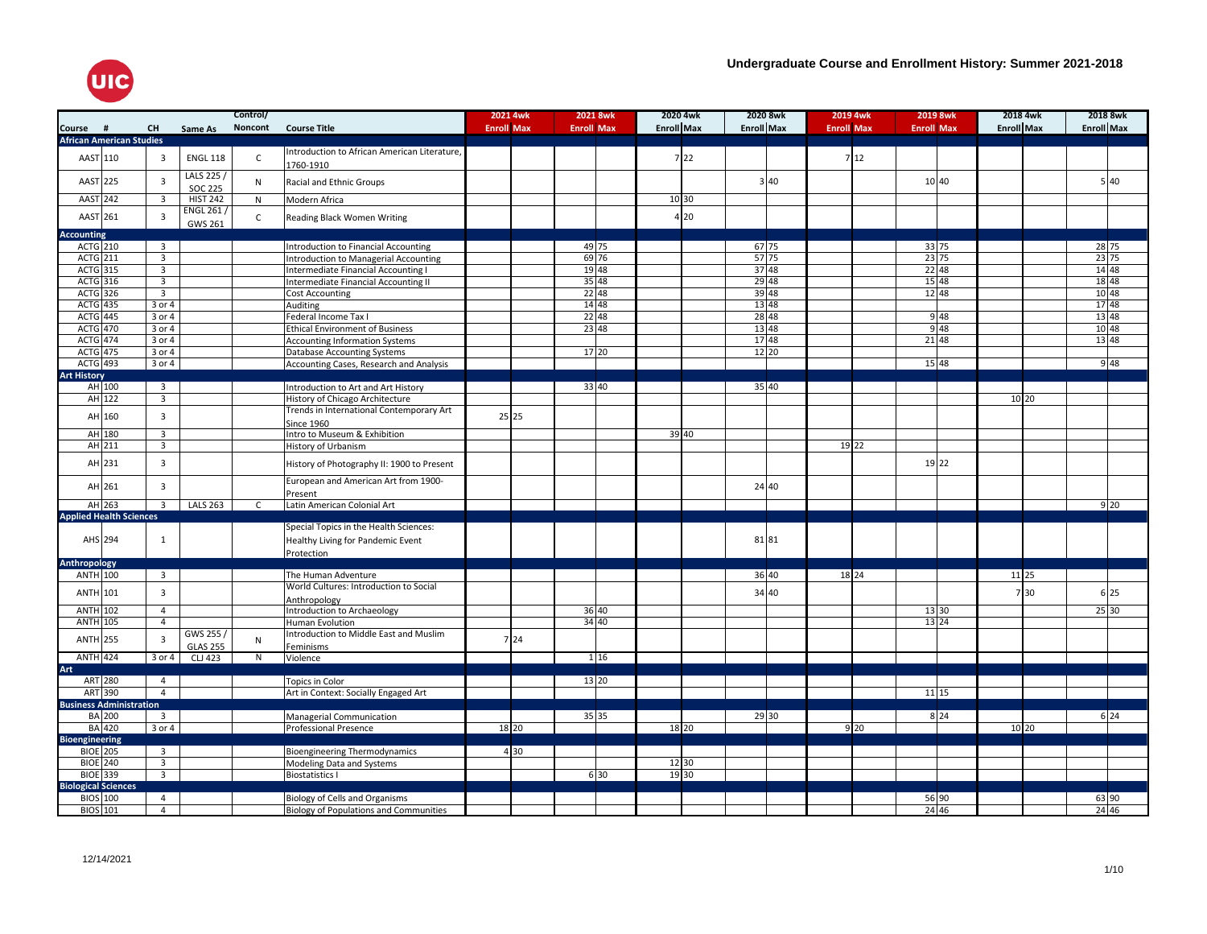

|                                 |               |                         |                              | Control/     |                                                 | 2021 4wk          |                   | 2021 8wk           | 2020 4wk          | 2020 8wk          |       | 2019 4wk          | 2019 8wk          |                   | 2018 4wk | 2018 8wk          |
|---------------------------------|---------------|-------------------------|------------------------------|--------------|-------------------------------------------------|-------------------|-------------------|--------------------|-------------------|-------------------|-------|-------------------|-------------------|-------------------|----------|-------------------|
| Course #                        |               | <b>CH</b>               | Same As                      | Noncont      | <b>Course Title</b>                             | <b>Enroll Max</b> | <b>Enroll Max</b> |                    | <b>Enroll Max</b> | <b>Enroll Max</b> |       | <b>Enroll Max</b> | <b>Enroll Max</b> | <b>Enroll Max</b> |          | <b>Enroll Max</b> |
| <b>African American Studies</b> |               |                         |                              |              |                                                 |                   |                   |                    |                   |                   |       |                   |                   |                   |          |                   |
|                                 |               |                         |                              |              | Introduction to African American Literature,    |                   |                   |                    |                   |                   |       |                   |                   |                   |          |                   |
| AAST                            | 110           | $\overline{3}$          | <b>ENGL 118</b>              | $\mathsf{C}$ | 1760-1910                                       |                   |                   |                    | 722               |                   |       | 7 12              |                   |                   |          |                   |
| AAST 225                        |               | $\overline{3}$          | LALS 225 /<br><b>SOC 225</b> | N            | Racial and Ethnic Groups                        |                   |                   |                    |                   |                   | 3 40  |                   | 10 40             |                   |          | 5 40              |
| AAST 242                        |               | $\overline{3}$          | <b>HIST 242</b>              | N            | Modern Africa                                   |                   |                   |                    | 10 30             |                   |       |                   |                   |                   |          |                   |
| AAST 261                        |               | $\overline{3}$          | ENGL 261/                    |              |                                                 |                   |                   |                    | 4 20              |                   |       |                   |                   |                   |          |                   |
|                                 |               |                         | GWS 261                      | $\mathsf{C}$ | Reading Black Women Writing                     |                   |                   |                    |                   |                   |       |                   |                   |                   |          |                   |
| <b>Accounting</b>               |               |                         |                              |              |                                                 |                   |                   |                    |                   |                   |       |                   |                   |                   |          |                   |
| <b>ACTG 210</b>                 |               | $\overline{\mathbf{3}}$ |                              |              | Introduction to Financial Accounting            |                   |                   | 49 75              |                   |                   | 67 75 |                   | 33 75             |                   |          |                   |
| <b>ACTG 211</b>                 |               | $\overline{3}$          |                              |              | Introduction to Managerial Accounting           |                   |                   | $\frac{12}{69}$ 76 |                   |                   | 57 75 |                   | 23 75             |                   |          | 28 75<br>23 75    |
| ACTG 315                        |               | $\overline{3}$          |                              |              | Intermediate Financial Accounting I             |                   |                   | 19 48              |                   |                   | 37 48 |                   | 22 48             |                   |          | 14 48             |
| $ACTG$ 316                      |               | $\overline{3}$          |                              |              | Intermediate Financial Accounting II            |                   |                   | 35 48              |                   |                   | 29 48 |                   | 15 48             |                   |          | $\frac{1}{18}$ 48 |
| <b>ACTG</b> 326                 |               | $\overline{3}$          |                              |              | Cost Accounting                                 |                   |                   | 22 48              |                   |                   | 39 48 |                   | 12 48             |                   |          | 10 48             |
| <b>ACTG</b> 435                 |               | 3 or 4                  |                              |              | Auditing                                        |                   |                   | 14 48              |                   |                   | 13 48 |                   |                   |                   |          | 17 48             |
| <b>ACTG</b> 445                 |               | 3 or 4                  |                              |              | Federal Income Tax I                            |                   |                   | 2248               |                   | 28 48             |       |                   | 9 4 8             |                   |          | 13 48             |
| ACTG 470                        |               | $3$ or $4$              |                              |              | <b>Ethical Environment of Business</b>          |                   |                   | 23 48              |                   |                   | 13 48 |                   | 948               |                   |          | 10 48             |
| <b>ACTG</b> 474                 |               | $3$ or $4$              |                              |              |                                                 |                   |                   |                    |                   |                   | 17 48 |                   | 21 48             |                   |          | 13 48             |
| <b>ACTG</b> 475                 |               | 3 or 4                  |                              |              | <b>Accounting Information Systems</b>           |                   |                   | 17 20              |                   |                   | 12 20 |                   |                   |                   |          |                   |
|                                 |               | $3$ or $4$              |                              |              | <b>Database Accounting Systems</b>              |                   |                   |                    |                   |                   |       |                   | 15 48             |                   |          |                   |
| ACTG 493                        |               |                         |                              |              | Accounting Cases, Research and Analysis         |                   |                   |                    |                   |                   |       |                   |                   |                   |          | 9 4 8             |
| <b>Art History</b>              |               |                         |                              |              |                                                 |                   |                   |                    |                   |                   |       |                   |                   |                   |          |                   |
|                                 | AH 100        | $\overline{\mathbf{3}}$ |                              |              | Introduction to Art and Art History             |                   |                   | 33 40              |                   |                   | 35 40 |                   |                   |                   |          |                   |
|                                 | AH 122        | $\overline{3}$          |                              |              | History of Chicago Architecture                 |                   |                   |                    |                   |                   |       |                   |                   |                   | 10 20    |                   |
|                                 | AH 160        | $\overline{3}$          |                              |              | Trends in International Contemporary Art        | 25 25             |                   |                    |                   |                   |       |                   |                   |                   |          |                   |
|                                 |               |                         |                              |              | <b>Since 1960</b>                               |                   |                   |                    |                   |                   |       |                   |                   |                   |          |                   |
|                                 | AH 180        | $\overline{3}$          |                              |              | Intro to Museum & Exhibition                    |                   |                   |                    | 39 40             |                   |       |                   |                   |                   |          |                   |
|                                 | AH 211        | $\overline{3}$          |                              |              | History of Urbanism                             |                   |                   |                    |                   |                   |       | 19 22             |                   |                   |          |                   |
|                                 | AH 231        | $\overline{3}$          |                              |              | History of Photography II: 1900 to Present      |                   |                   |                    |                   |                   |       |                   | 19 22             |                   |          |                   |
|                                 | AH 261        | $\overline{3}$          |                              |              | European and American Art from 1900-<br>Present |                   |                   |                    |                   |                   | 24 40 |                   |                   |                   |          |                   |
|                                 | AH 263        | $\overline{3}$          | <b>LALS 263</b>              | C            | Latin American Colonial Art                     |                   |                   |                    |                   |                   |       |                   |                   |                   |          | 9 20              |
| <b>Applied Health Sciences</b>  |               |                         |                              |              |                                                 |                   |                   |                    |                   |                   |       |                   |                   |                   |          |                   |
|                                 |               |                         |                              |              | Special Topics in the Health Sciences:          |                   |                   |                    |                   |                   |       |                   |                   |                   |          |                   |
| AHS 294                         |               | $\mathbf{1}$            |                              |              |                                                 |                   |                   |                    |                   |                   | 81 81 |                   |                   |                   |          |                   |
|                                 |               |                         |                              |              | Healthy Living for Pandemic Event               |                   |                   |                    |                   |                   |       |                   |                   |                   |          |                   |
|                                 |               |                         |                              |              | Protection                                      |                   |                   |                    |                   |                   |       |                   |                   |                   |          |                   |
| Anthropology                    |               |                         |                              |              |                                                 |                   |                   |                    |                   |                   |       |                   |                   |                   |          |                   |
| <b>ANTH</b> 100                 |               | $\overline{3}$          |                              |              | The Human Adventure                             |                   |                   |                    |                   |                   | 36 40 | 18 24             |                   |                   | 11 25    |                   |
| ANTH 101                        |               | $\overline{3}$          |                              |              | World Cultures: Introduction to Social          |                   |                   |                    |                   |                   | 34 40 |                   |                   |                   | 7 30     | 6 25              |
|                                 |               |                         |                              |              | Anthropology                                    |                   |                   |                    |                   |                   |       |                   |                   |                   |          |                   |
| <b>ANTH 102</b>                 |               | $\overline{4}$          |                              |              | Introduction to Archaeology                     |                   |                   | 36 40              |                   |                   |       |                   | 13 30             |                   |          | 25 30             |
| <b>ANTH 105</b>                 |               | $\overline{4}$          |                              |              | Human Evolution                                 |                   |                   | 34 40              |                   |                   |       |                   | $13\,24$          |                   |          |                   |
| <b>ANTH 255</b>                 |               | $\overline{\mathbf{3}}$ | GWS 255/                     | N            | Introduction to Middle East and Muslim          | 7 24              |                   |                    |                   |                   |       |                   |                   |                   |          |                   |
|                                 |               |                         | <b>GLAS 255</b>              |              | Feminisms                                       |                   |                   |                    |                   |                   |       |                   |                   |                   |          |                   |
| ANTH 424                        |               | 3 or 4                  | <b>CLJ 423</b>               | N            | Violence                                        |                   |                   | 1 1 6              |                   |                   |       |                   |                   |                   |          |                   |
| Art                             |               |                         |                              |              |                                                 |                   |                   |                    |                   |                   |       |                   |                   |                   |          |                   |
|                                 | ART 280       | $\overline{4}$          |                              |              | Topics in Color                                 |                   |                   | 13 20              |                   |                   |       |                   |                   |                   |          |                   |
|                                 | ART 390       | $\overline{4}$          |                              |              | Art in Context: Socially Engaged Art            |                   |                   |                    |                   |                   |       |                   | 11 15             |                   |          |                   |
| <b>Business Administration</b>  |               |                         |                              |              |                                                 |                   |                   |                    |                   |                   |       |                   |                   |                   |          |                   |
|                                 | <b>BA</b> 200 | $\overline{3}$          |                              |              | Managerial Communication                        |                   |                   | 35 35              |                   |                   | 29 30 |                   | $8\overline{24}$  |                   |          | $6\overline{24}$  |
|                                 | <b>BA</b> 420 | $3$ or $4$              |                              |              | Professional Presence                           | 18 20             |                   |                    | 18 20             |                   |       | 9 20              |                   |                   | 10 20    |                   |
| <b>Bioengineering</b>           |               |                         |                              |              |                                                 |                   |                   |                    |                   |                   |       |                   |                   |                   |          |                   |
| <b>BIOE 205</b>                 |               | $\overline{3}$          |                              |              | <b>Bioengineering Thermodynamics</b>            | 4 30              |                   |                    |                   |                   |       |                   |                   |                   |          |                   |
| <b>BIOE 240</b>                 |               | $\overline{3}$          |                              |              | Modeling Data and Systems                       |                   |                   |                    | 12 30             |                   |       |                   |                   |                   |          |                   |
| BIOE 339                        |               | $\overline{\mathbf{3}}$ |                              |              | <b>Biostatistics I</b>                          |                   |                   | 6 30               | 19 30             |                   |       |                   |                   |                   |          |                   |
| <b>Biological Sciences</b>      |               |                         |                              |              |                                                 |                   |                   |                    |                   |                   |       |                   |                   |                   |          |                   |
|                                 |               |                         |                              |              |                                                 |                   |                   |                    |                   |                   |       |                   |                   |                   |          |                   |
| <b>BIOS</b> 100                 |               | $\overline{4}$          |                              |              | Biology of Cells and Organisms                  |                   |                   |                    |                   |                   |       |                   | 56 90             |                   |          | 63 90             |
| BIOS 101                        |               | $\overline{4}$          |                              |              | <b>Biology of Populations and Communities</b>   |                   |                   |                    |                   |                   |       |                   | 24 46             |                   |          | 24 46             |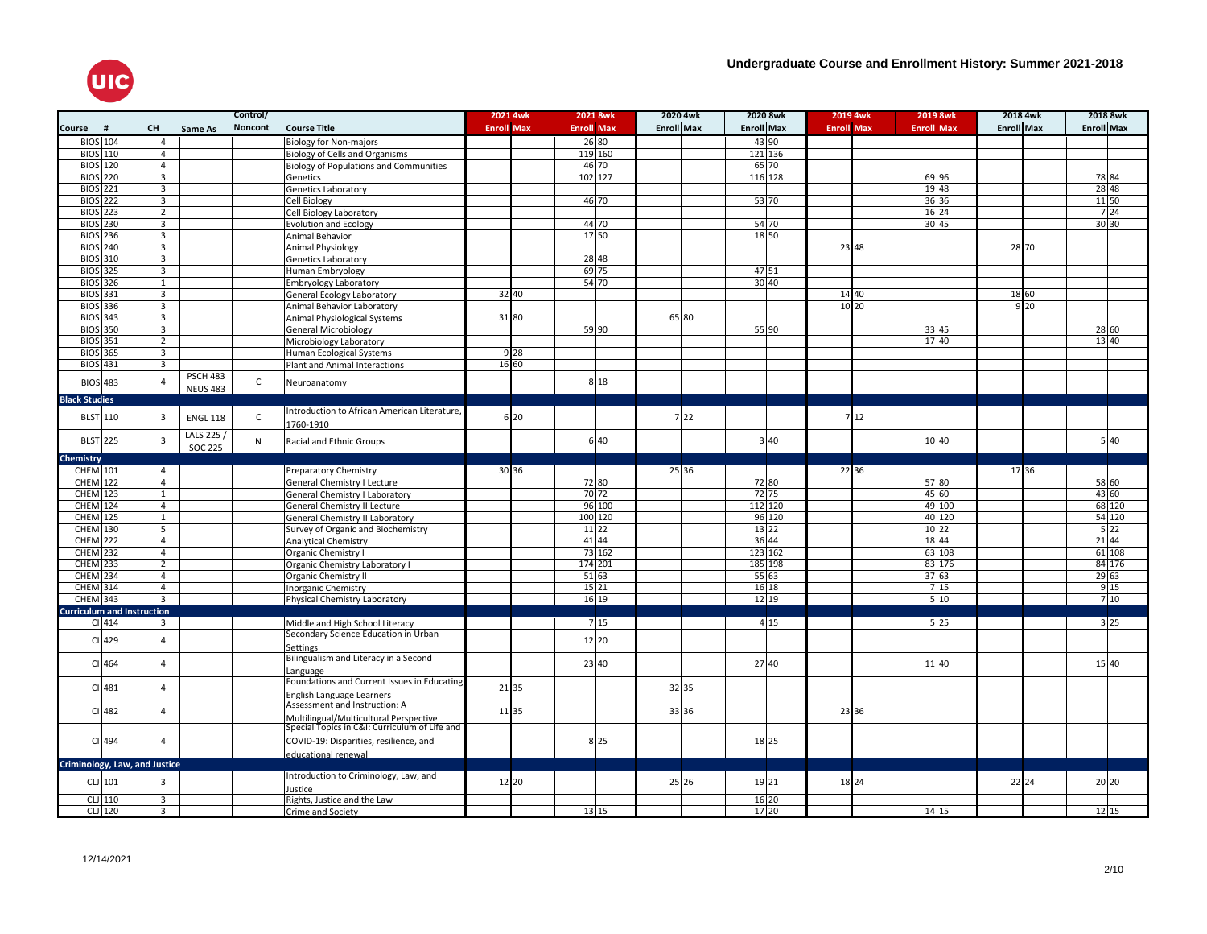

|                                   |                     |                         |                 | Control/     |                                                                                         | 2021 4wk          | 2021 8wk          |        | 2020 4wk          |      | 2020 8wk          |         | 2019 4wk          | 2019 8wk          | 2018 4wk          | 2018 8wk          |                  |
|-----------------------------------|---------------------|-------------------------|-----------------|--------------|-----------------------------------------------------------------------------------------|-------------------|-------------------|--------|-------------------|------|-------------------|---------|-------------------|-------------------|-------------------|-------------------|------------------|
| <b>Course</b>                     | #                   | <b>CH</b>               | Same As         | Noncont      | <b>Course Title</b>                                                                     | <b>Enroll Max</b> | <b>Enroll Max</b> |        | <b>Enroll Max</b> |      | <b>Enroll Max</b> |         | <b>Enroll Max</b> | <b>Enroll Max</b> | <b>Enroll Max</b> | <b>Enroll Max</b> |                  |
| <b>BIOS</b> 104                   |                     | $\overline{4}$          |                 |              | <b>Biology for Non-majors</b>                                                           |                   | 26 80             |        |                   |      |                   | 43 90   |                   |                   |                   |                   |                  |
| <b>BIOS</b> 110                   |                     | $\overline{4}$          |                 |              | Biology of Cells and Organisms                                                          |                   | 119 160           |        |                   |      |                   | 121 136 |                   |                   |                   |                   |                  |
| <b>BIOS</b> 120                   |                     | $\overline{4}$          |                 |              | <b>Biology of Populations and Communities</b>                                           |                   | 46 70             |        |                   |      |                   | 65 70   |                   |                   |                   |                   |                  |
| <b>BIOS</b> 220                   |                     | $\overline{3}$          |                 |              | Genetics                                                                                |                   | 102 127           |        |                   |      |                   | 116 128 |                   | 69 96             |                   | 78 84             |                  |
| <b>BIOS</b> 221                   |                     | $\overline{\mathbf{3}}$ |                 |              | Genetics Laboratory                                                                     |                   |                   |        |                   |      |                   |         |                   | 19 48             |                   | 28 48             |                  |
| <b>BIOS</b> 222                   |                     | $\overline{\mathbf{3}}$ |                 |              | Cell Biology                                                                            |                   | 46 70             |        |                   |      |                   | 53 70   |                   | 36 36             |                   | 11 50             |                  |
| <b>BIOS</b> 223                   |                     | $\overline{2}$          |                 |              | Cell Biology Laboratory                                                                 |                   |                   |        |                   |      |                   |         |                   | 16 24             |                   | 7 24              |                  |
| <b>BIOS</b> 230                   |                     | $\overline{3}$          |                 |              | <b>Evolution and Ecology</b>                                                            |                   | 44 70             |        |                   |      |                   | 54 70   |                   | 30 45             |                   | 30 30             |                  |
| <b>BIOS</b> 236                   |                     | $\overline{3}$          |                 |              | Animal Behavior                                                                         |                   | 17 50             |        |                   |      |                   | 18 50   |                   |                   |                   |                   |                  |
| <b>BIOS</b> 240                   |                     | $\overline{3}$          |                 |              | <b>Animal Physiology</b>                                                                |                   |                   |        |                   |      |                   |         | 23 48             |                   | 28 70             |                   |                  |
| <b>BIOS</b> 310                   |                     | 3                       |                 |              | <b>Genetics Laboratory</b>                                                              |                   | 28 48             |        |                   |      |                   |         |                   |                   |                   |                   |                  |
| <b>BIOS</b> 325                   |                     | $\overline{3}$          |                 |              | Human Embryology                                                                        |                   | 69 75             |        |                   |      |                   | 47 51   |                   |                   |                   |                   |                  |
| BIOS 326                          |                     | $\mathbf{1}$            |                 |              | <b>Embryology Laboratory</b>                                                            |                   | 54 70             |        |                   |      |                   | 30 40   |                   |                   |                   |                   |                  |
| <b>BIOS</b> 331                   |                     | $\overline{3}$          |                 |              | General Ecology Laboratory                                                              | 32 40             |                   |        |                   |      |                   |         | 14 40             |                   | 18 60             |                   |                  |
| <b>BIOS</b> 336                   |                     | 3                       |                 |              | Animal Behavior Laboratory                                                              |                   |                   |        |                   |      |                   |         | 10 20             |                   | 9 <sup>20</sup>   |                   |                  |
| BIOS 343                          |                     | 3                       |                 |              | Animal Physiological Systems                                                            | 31 80             |                   |        | 65 80             |      |                   |         |                   |                   |                   |                   |                  |
| <b>BIOS</b> 350                   |                     | $\overline{3}$          |                 |              | <b>General Microbiology</b>                                                             |                   | 59 90             |        |                   |      |                   | 55 90   |                   | 33 45             |                   | 28 60             |                  |
| <b>BIOS</b> 351                   |                     | $\overline{2}$          |                 |              | Microbiology Laboratory                                                                 |                   |                   |        |                   |      |                   |         |                   | 17 40             |                   | 13 40             |                  |
| <b>BIOS</b> 365                   |                     | $\overline{3}$          |                 |              | Human Ecological Systems                                                                | 9 2 8             |                   |        |                   |      |                   |         |                   |                   |                   |                   |                  |
| <b>BIOS</b> 431                   |                     | $\overline{3}$          |                 |              | Plant and Animal Interactions                                                           | 16 60             |                   |        |                   |      |                   |         |                   |                   |                   |                   |                  |
|                                   |                     |                         | <b>PSCH 483</b> |              |                                                                                         |                   |                   |        |                   |      |                   |         |                   |                   |                   |                   |                  |
| <b>BIOS</b> 483                   |                     | $\Delta$                | <b>NEUS 483</b> | $\mathsf C$  | Neuroanatomy                                                                            |                   |                   | 8 1 8  |                   |      |                   |         |                   |                   |                   |                   |                  |
| <b>Black Studies</b>              |                     |                         |                 |              |                                                                                         |                   |                   |        |                   |      |                   |         |                   |                   |                   |                   |                  |
|                                   |                     |                         |                 |              | Introduction to African American Literature,                                            |                   |                   |        |                   |      |                   |         |                   |                   |                   |                   |                  |
| <b>BLST</b> 110                   |                     | $\overline{3}$          | <b>ENGL 118</b> | $\mathsf{C}$ | 1760-1910                                                                               | 6 20              |                   |        |                   | 7 22 |                   |         | 7 12              |                   |                   |                   |                  |
|                                   |                     |                         | LALS 225        |              |                                                                                         |                   |                   |        |                   |      |                   |         |                   |                   |                   |                   |                  |
| <b>BLST</b> 225                   |                     | $\overline{3}$          | <b>SOC 225</b>  | N            | Racial and Ethnic Groups                                                                |                   |                   | 6 40   |                   |      |                   | 3 40    |                   | 10 40             |                   | 5 40              |                  |
| Chemistry                         |                     |                         |                 |              |                                                                                         |                   |                   |        |                   |      |                   |         |                   |                   |                   |                   |                  |
| CHEM 101                          |                     | $\overline{4}$          |                 |              | <b>Preparatory Chemistry</b>                                                            | 30 36             |                   |        | 25 36             |      |                   |         | 22 36             |                   | 17 36             |                   |                  |
| <b>CHEM 122</b>                   |                     | $\overline{4}$          |                 |              | General Chemistry I Lecture                                                             |                   | 72 80             |        |                   |      |                   | 72 80   |                   | 57 80             |                   | 58 60             |                  |
| <b>CHEM</b> 123                   |                     | $\mathbf{1}$            |                 |              | General Chemistry I Laboratory                                                          |                   | 70 72             |        |                   |      |                   | 72 75   |                   | 45 60             |                   | 43 60             |                  |
| CHEM 124                          |                     | 4                       |                 |              | General Chemistry II Lecture                                                            |                   |                   | 96 100 |                   |      |                   | 112 120 |                   | 49 100            |                   | 68 120            |                  |
| CHEM 125                          |                     | $\mathbf{1}$            |                 |              | General Chemistry II Laboratory                                                         |                   | 100 120           |        |                   |      |                   | 96 120  |                   | 40 120            |                   | 54 120            |                  |
| <b>CHEM 130</b>                   |                     | 5                       |                 |              | Survey of Organic and Biochemistry                                                      |                   | 11 22             |        |                   |      |                   | 13 22   |                   | 10 22             |                   | 522               |                  |
| <b>CHEM</b> 222                   |                     | $\overline{4}$          |                 |              | Analytical Chemistry                                                                    |                   | 41 44             |        |                   |      |                   | 36 44   |                   | 18 44             |                   | 21 44             |                  |
| <b>CHEM</b> 232                   |                     | $\overline{4}$          |                 |              | Organic Chemistry I                                                                     |                   |                   | 73 162 |                   |      |                   | 123 162 |                   | 63 108            |                   | 61 108            |                  |
| CHEM 233                          |                     | $\overline{2}$          |                 |              | Organic Chemistry Laboratory I                                                          |                   | 174 201           |        |                   |      |                   | 185 198 |                   | 83 176            |                   | 84 176            |                  |
| <b>CHEM</b> 234                   |                     | $\overline{4}$          |                 |              | Organic Chemistry II                                                                    |                   | 5163              |        |                   |      |                   | 5563    |                   | 37 63             |                   | 29 63             |                  |
| <b>CHEM</b> 314                   |                     | $\overline{4}$          |                 |              | <b>Inorganic Chemistry</b>                                                              |                   | 15 21             |        |                   |      |                   | 16 18   |                   | 7 15              |                   | 9 1 5             |                  |
| <b>CHEM</b> 343                   |                     | $\overline{\mathbf{3}}$ |                 |              | Physical Chemistry Laboratory                                                           |                   | 16 19             |        |                   |      |                   | 12 19   |                   | 510               |                   | 710               |                  |
| <b>Curriculum and Instruction</b> |                     |                         |                 |              |                                                                                         |                   |                   |        |                   |      |                   |         |                   |                   |                   |                   |                  |
|                                   | $Cl$ 414            | $\overline{\mathbf{3}}$ |                 |              | Middle and High School Literacy                                                         |                   |                   | 7 15   |                   |      |                   | 4 15    |                   | 525               |                   |                   | $3\overline{25}$ |
|                                   | Cl <sub>429</sub>   | $\overline{4}$          |                 |              | Secondary Science Education in Urban                                                    |                   | 12 20             |        |                   |      |                   |         |                   |                   |                   |                   |                  |
|                                   |                     |                         |                 |              | <b>Settings</b>                                                                         |                   |                   |        |                   |      |                   |         |                   |                   |                   |                   |                  |
|                                   | $Cl$ <sub>464</sub> | $\overline{4}$          |                 |              | Bilingualism and Literacy in a Second                                                   |                   | 23 40             |        |                   |      |                   | 27 40   |                   | 11 40             |                   | 15 40             |                  |
|                                   |                     |                         |                 |              | Language                                                                                |                   |                   |        |                   |      |                   |         |                   |                   |                   |                   |                  |
|                                   | $Cl$ <sub>481</sub> | $\overline{4}$          |                 |              | Foundations and Current Issues in Educating                                             | 21 35             |                   |        | 32 35             |      |                   |         |                   |                   |                   |                   |                  |
|                                   |                     |                         |                 |              | English Language Learners                                                               |                   |                   |        |                   |      |                   |         |                   |                   |                   |                   |                  |
|                                   | $Cl$ 482            | $\overline{4}$          |                 |              | Assessment and Instruction: A                                                           | 11 35             |                   |        | 33 36             |      |                   |         | 23 36             |                   |                   |                   |                  |
|                                   |                     |                         |                 |              | Multilingual/Multicultural Perspective<br>Special Topics in C&I: Curriculum of Life and |                   |                   |        |                   |      |                   |         |                   |                   |                   |                   |                  |
|                                   |                     |                         |                 |              |                                                                                         |                   |                   |        |                   |      |                   |         |                   |                   |                   |                   |                  |
|                                   | CI 494              | $\overline{4}$          |                 |              | COVID-19: Disparities, resilience, and                                                  |                   |                   | 8 2 5  |                   |      | 18 25             |         |                   |                   |                   |                   |                  |
|                                   |                     |                         |                 |              | educational renewal                                                                     |                   |                   |        |                   |      |                   |         |                   |                   |                   |                   |                  |
| Criminology, Law, and Justice     |                     |                         |                 |              |                                                                                         |                   |                   |        |                   |      |                   |         |                   |                   |                   |                   |                  |
| $CLJ$ 101                         |                     | $\overline{3}$          |                 |              | Introduction to Criminology, Law, and                                                   | 12 20             |                   |        | 25 26             |      | 19 21             |         | 18 24             |                   | 22 24             | 20 20             |                  |
|                                   |                     |                         |                 |              |                                                                                         |                   |                   |        |                   |      |                   |         |                   |                   |                   |                   |                  |
|                                   |                     |                         |                 |              | Justice                                                                                 |                   |                   |        |                   |      |                   |         |                   |                   |                   |                   |                  |
|                                   | $CLJ$ 110           | 3                       |                 |              | Rights, Justice and the Law                                                             |                   |                   |        |                   |      | 17 20             | 16 20   |                   |                   |                   |                   |                  |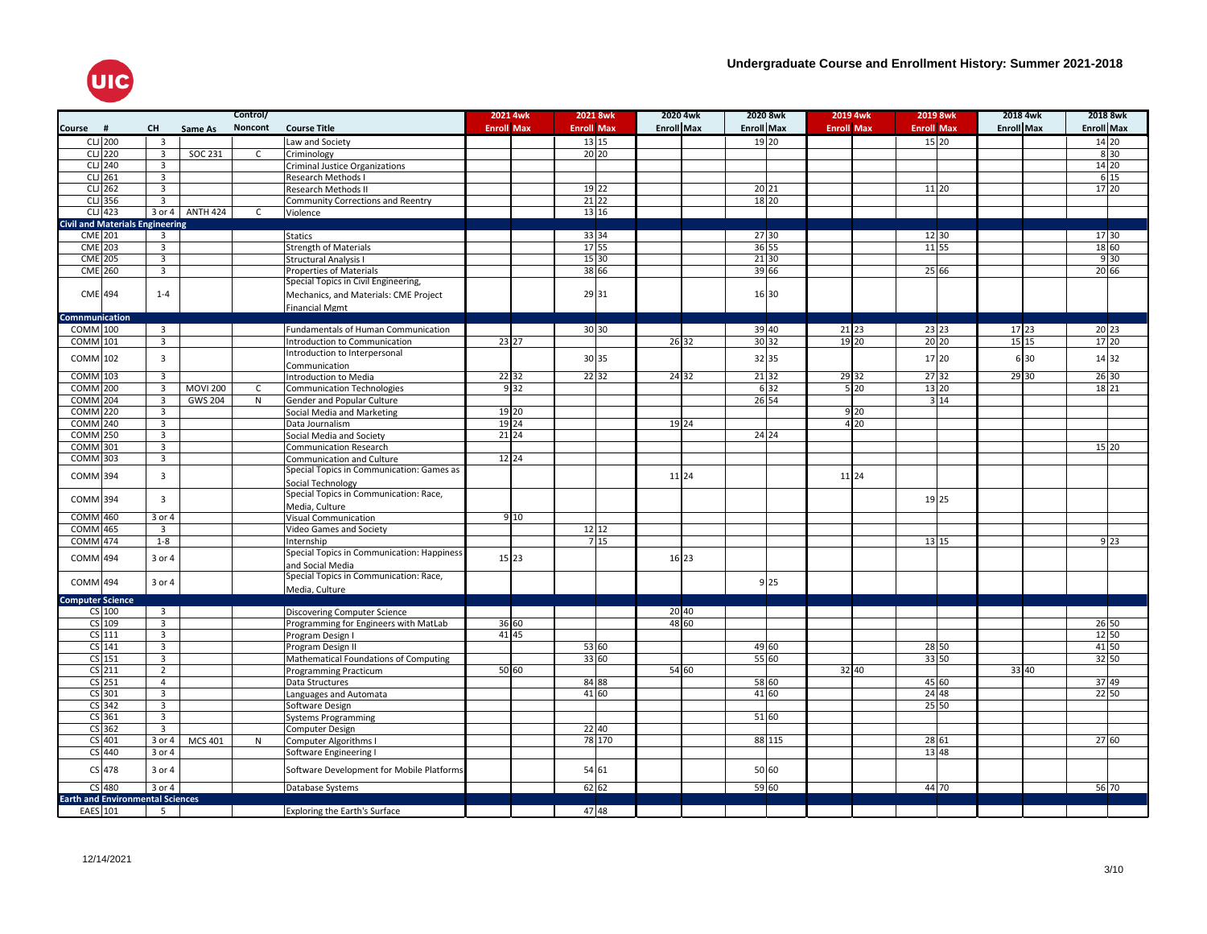

|                                         |                         |                 | Control/     |                                            |                   | 2021 4wk       |                   | 2021 8wk           | 2020 4wk          | 2020 8wk          |                 | 2019 4wk          | 2019 8wk          | 2018 4wk          | 2018 8wk          |
|-----------------------------------------|-------------------------|-----------------|--------------|--------------------------------------------|-------------------|----------------|-------------------|--------------------|-------------------|-------------------|-----------------|-------------------|-------------------|-------------------|-------------------|
| Course #                                | <b>CH</b>               | Same As         | Noncont      | <b>Course Title</b>                        | <b>Enroll Max</b> |                | <b>Enroll Max</b> |                    | <b>Enroll Max</b> | <b>Enroll Max</b> |                 | <b>Enroll Max</b> | <b>Enroll Max</b> | <b>Enroll Max</b> | <b>Enroll Max</b> |
| CLJ 200                                 | $\overline{\mathbf{3}}$ |                 |              | Law and Society                            |                   |                |                   | 13 15              |                   | 19 20             |                 |                   | 15 20             |                   | 14 20             |
| $CL$ 220                                | $\overline{3}$          | SOC 231         | $\mathsf{C}$ | Criminology                                |                   |                |                   | $20$ <sub>20</sub> |                   |                   |                 |                   |                   |                   | 830               |
| <b>CLJ</b> 240                          | $\overline{3}$          |                 |              | <b>Criminal Justice Organizations</b>      |                   |                |                   |                    |                   |                   |                 |                   |                   |                   | 14 20             |
| $CLJ$ 261                               | $\overline{3}$          |                 |              | Research Methods I                         |                   |                |                   |                    |                   |                   |                 |                   |                   |                   | 6 15              |
| $CLJ$ 262                               | $\overline{3}$          |                 |              | <b>Research Methods II</b>                 |                   |                |                   | 19 22              |                   | 20 21             |                 |                   | 11 20             |                   | 17 20             |
| $CLJ$ 356                               | $\overline{3}$          |                 |              | Community Corrections and Reentry          |                   |                |                   | $21\ 22$           |                   | 18 20             |                 |                   |                   |                   |                   |
| $CLJ$ 423                               | 3 or 4                  | <b>ANTH 424</b> | C            | Violence                                   |                   |                |                   | 13 16              |                   |                   |                 |                   |                   |                   |                   |
| <b>Civil and Materials Engineering</b>  |                         |                 |              |                                            |                   |                |                   |                    |                   |                   |                 |                   |                   |                   |                   |
| <b>CME</b> 201                          | 3                       |                 |              | <b>Statics</b>                             |                   |                |                   | 33 34              |                   | 27 30             |                 |                   | 12 30             |                   | 17 30             |
| <b>CME</b> 203                          | $\overline{3}$          |                 |              | <b>Strength of Materials</b>               |                   |                |                   | 17 55              |                   | 36 55             |                 |                   | 11 55             |                   | 18 60             |
| <b>CME</b> 205                          | $\overline{3}$          |                 |              | Structural Analysis I                      |                   |                |                   | 15 30              |                   | $21\,30$          |                 |                   |                   |                   | 930               |
| <b>CME</b> 260                          | $\overline{\mathbf{3}}$ |                 |              | <b>Properties of Materials</b>             |                   |                |                   | 38 66              |                   | 39 66             |                 |                   | 25 66             |                   | 20 66             |
|                                         |                         |                 |              | Special Topics in Civil Engineering,       |                   |                |                   |                    |                   |                   |                 |                   |                   |                   |                   |
| $CME$ <sub>494</sub>                    | $1 - 4$                 |                 |              | Mechanics, and Materials: CME Project      |                   |                |                   | 29 31              |                   | 16 30             |                 |                   |                   |                   |                   |
|                                         |                         |                 |              | <b>Financial Mgmt</b>                      |                   |                |                   |                    |                   |                   |                 |                   |                   |                   |                   |
| Comnmunication                          |                         |                 |              |                                            |                   |                |                   |                    |                   |                   |                 |                   |                   |                   |                   |
| COMM 100                                | $\overline{3}$          |                 |              | Fundamentals of Human Communication        |                   |                |                   | 30 30              |                   | 39 40             |                 | $21\ 23$          | 23 23             | 17 23             | 20 23             |
| <b>COMM</b> 101                         | $\overline{3}$          |                 |              | Introduction to Communication              |                   | 23 27          |                   |                    | 26 32             | 30 32             |                 | 19 20             | 20 20             | 15 15             | 17 20             |
| COMM 102                                | $\overline{3}$          |                 |              | Introduction to Interpersonal              |                   |                |                   | 30 35              |                   | 32 35             |                 |                   | 17 20             | 6 30              | 14 32             |
|                                         |                         |                 |              | Communication                              |                   |                |                   |                    |                   |                   |                 |                   |                   |                   |                   |
| COMM 103                                | $\overline{\mathbf{3}}$ |                 |              | Introduction to Media                      |                   | 22 32          |                   | 22 32              | 24 32             | 21 32             |                 | 29 32             | 27 32             | 29 30             | 26 30             |
| <b>COMM</b> 200                         | $\overline{3}$          | <b>MOVI 200</b> | $\mathsf{C}$ | <b>Communication Technologies</b>          |                   | 932            |                   |                    |                   |                   | 6 32            | $5\overline{20}$  | 13 20             |                   | 18 21             |
| <b>COMM</b> 204                         | $\overline{3}$          | <b>GWS 204</b>  | N            | Gender and Popular Culture                 |                   |                |                   |                    |                   | 26 54             |                 |                   | 314               |                   |                   |
| <b>COMM</b> 220                         | $\overline{3}$          |                 |              | Social Media and Marketing                 |                   | 19 20          |                   |                    |                   |                   |                 | 9 <sub>20</sub>   |                   |                   |                   |
| <b>COMM</b> 240                         | $\overline{\mathbf{3}}$ |                 |              | Data Journalism                            |                   | 19 24          |                   |                    | 19 24             |                   |                 | $4\overline{20}$  |                   |                   |                   |
| <b>COMM</b> 250                         | $\overline{\mathbf{3}}$ |                 |              | Social Media and Society                   |                   | $21\ 24$       |                   |                    |                   | 24 24             |                 |                   |                   |                   |                   |
| COMM 301                                | $\overline{3}$          |                 |              | Communication Research                     |                   |                |                   |                    |                   |                   |                 |                   |                   |                   | 15 20             |
| <b>COMM</b> 303                         | $\overline{3}$          |                 |              | Communication and Culture                  |                   | $12$ 24        |                   |                    |                   |                   |                 |                   |                   |                   |                   |
| COMM 394                                | $\overline{3}$          |                 |              | Special Topics in Communication: Games as  |                   |                |                   |                    | 11 24             |                   |                 | 11 24             |                   |                   |                   |
|                                         |                         |                 |              | Social Technology                          |                   |                |                   |                    |                   |                   |                 |                   |                   |                   |                   |
| COMM 394                                | $\overline{3}$          |                 |              | Special Topics in Communication: Race,     |                   |                |                   |                    |                   |                   |                 |                   | 19 25             |                   |                   |
|                                         |                         |                 |              | Media, Culture                             |                   |                |                   |                    |                   |                   |                 |                   |                   |                   |                   |
| <b>COMM</b> 460                         | 3 or 4                  |                 |              | Visual Communication                       |                   | 9 10           |                   |                    |                   |                   |                 |                   |                   |                   |                   |
| <b>COMM</b> 465                         | $\overline{\mathbf{3}}$ |                 |              | Video Games and Society                    |                   |                |                   | 12 12              |                   |                   |                 |                   |                   |                   |                   |
| <b>COMM</b> 474                         | $1 - 8$                 |                 |              | Internship                                 |                   |                |                   | 715                |                   |                   |                 |                   | 13 15             |                   | $9\overline{23}$  |
| COMM 494                                | 3 or 4                  |                 |              | Special Topics in Communication: Happiness |                   | 15 23          |                   |                    | 16 23             |                   |                 |                   |                   |                   |                   |
|                                         |                         |                 |              | and Social Media                           |                   |                |                   |                    |                   |                   |                 |                   |                   |                   |                   |
| COMM 494                                | 3 or 4                  |                 |              | Special Topics in Communication: Race,     |                   |                |                   |                    |                   |                   | 9 <sub>25</sub> |                   |                   |                   |                   |
|                                         |                         |                 |              | Media, Culture                             |                   |                |                   |                    |                   |                   |                 |                   |                   |                   |                   |
| <b>Computer Science</b>                 | $\overline{\mathbf{3}}$ |                 |              |                                            |                   |                |                   |                    |                   |                   |                 |                   |                   |                   |                   |
| $CS$ 100<br>CS 109                      | $\overline{3}$          |                 |              | Discovering Computer Science               |                   |                |                   |                    | 20 40<br>48 60    |                   |                 |                   |                   |                   |                   |
| $CS$ 111                                | $\overline{3}$          |                 |              | Programming for Engineers with MatLab      |                   | 36 60<br>41 45 |                   |                    |                   |                   |                 |                   |                   |                   | 26 50<br>12 50    |
| $CS$ 141                                | $\overline{3}$          |                 |              | Program Design I                           |                   |                |                   | 53 60              |                   | 49 60             |                 |                   | 28 50             |                   | 41 50             |
| $CS$ 151                                | $\overline{3}$          |                 |              | Program Design II                          |                   |                |                   | 33 60              |                   | 55 60             |                 |                   | 33 50             |                   | 32 50             |
| $CS$ <sub>211</sub>                     | $\overline{2}$          |                 |              | Mathematical Foundations of Computing      |                   | 5060           |                   |                    | 54 60             |                   |                 | 32 40             |                   | 33 40             |                   |
| $CS$ 251                                | $\overline{4}$          |                 |              | Programming Practicum<br>Data Structures   |                   |                |                   | 84 88              |                   | 58 60             |                 |                   | 45 60             |                   | 37 49             |
| $CS$ 301                                | $\overline{3}$          |                 |              | Languages and Automata                     |                   |                |                   | 41 60              |                   | 41 60             |                 |                   | 24 48             |                   | 22 50             |
| $CS$ 342                                | $\overline{3}$          |                 |              | Software Design                            |                   |                |                   |                    |                   |                   |                 |                   | 25 50             |                   |                   |
| $CS$ 361                                | $\overline{3}$          |                 |              | <b>Systems Programming</b>                 |                   |                |                   |                    |                   | 51 60             |                 |                   |                   |                   |                   |
| $CS$ 362                                | $\overline{3}$          |                 |              | Computer Design                            |                   |                |                   | 22 40              |                   |                   |                 |                   |                   |                   |                   |
| $CS$ 401                                | 3 or 4                  | <b>MCS 401</b>  | N            | Computer Algorithms I                      |                   |                |                   | 78 170             |                   |                   | 88 115          |                   | 28 61             |                   | 2760              |
| CS 440                                  | 3 or 4                  |                 |              | Software Engineering I                     |                   |                |                   |                    |                   |                   |                 |                   | 13 48             |                   |                   |
|                                         |                         |                 |              |                                            |                   |                |                   |                    |                   |                   |                 |                   |                   |                   |                   |
| $CS$ 478                                | 3 or 4                  |                 |              | Software Development for Mobile Platforms  |                   |                |                   | 54 61              |                   | 50 60             |                 |                   |                   |                   |                   |
| CS 480                                  | 3 or 4                  |                 |              |                                            |                   |                |                   | 62 62              |                   | $59$ 60           |                 |                   | 44 70             |                   | 56 70             |
| <b>Earth and Environmental Sciences</b> |                         |                 |              | Database Systems                           |                   |                |                   |                    |                   |                   |                 |                   |                   |                   |                   |
| EAES 101                                | 5 <sup>5</sup>          |                 |              | <b>Exploring the Earth's Surface</b>       |                   |                |                   | 4748               |                   |                   |                 |                   |                   |                   |                   |
|                                         |                         |                 |              |                                            |                   |                |                   |                    |                   |                   |                 |                   |                   |                   |                   |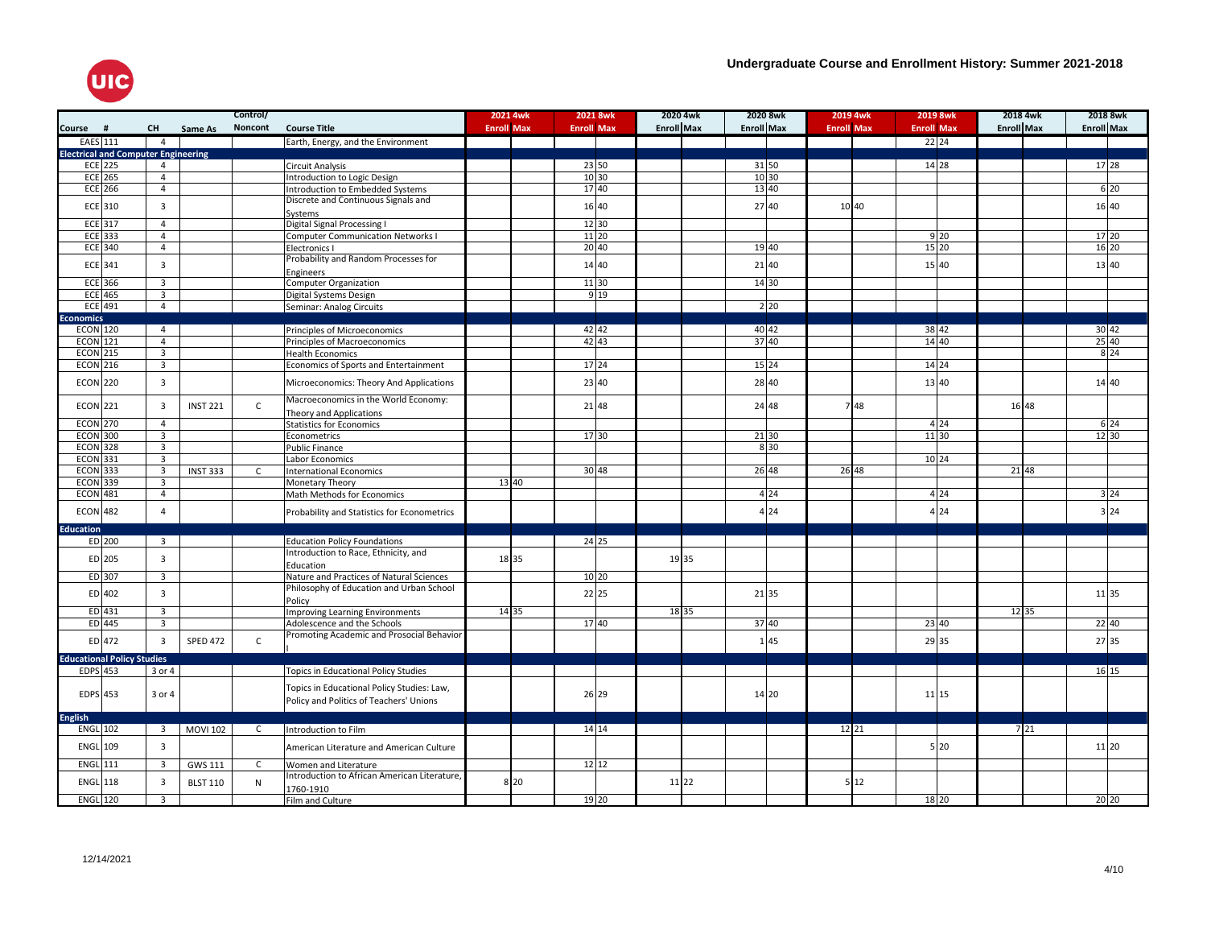

|                                            |                |                                           |                 | Control/     |                                             | 2021 4wk          | 2021 8wk          | 2020 4wk          | 2020 8wk          |                  | 2019 4wk          | 2019 8wk          |       | 2018 4wk          |     | 2018 8wk          |                  |
|--------------------------------------------|----------------|-------------------------------------------|-----------------|--------------|---------------------------------------------|-------------------|-------------------|-------------------|-------------------|------------------|-------------------|-------------------|-------|-------------------|-----|-------------------|------------------|
| Course #                                   |                | <b>CH</b>                                 | Same As         | Noncont      | <b>Course Title</b>                         | <b>Enroll Max</b> | <b>Enroll Max</b> | <b>Enroll Max</b> | <b>Enroll Max</b> |                  | <b>Enroll Max</b> | <b>Enroll Max</b> |       | <b>Enroll Max</b> |     | <b>Enroll Max</b> |                  |
| EAES 111                                   |                | $\overline{4}$                            |                 |              | Earth, Energy, and the Environment          |                   |                   |                   |                   |                  |                   | 22 24             |       |                   |     |                   |                  |
| <b>Electrical and Computer Engineering</b> |                |                                           |                 |              |                                             |                   |                   |                   |                   |                  |                   |                   |       |                   |     |                   |                  |
|                                            | ECE 225        | $\overline{4}$                            |                 |              | Circuit Analysis                            |                   | 23 50             |                   | 31 50             |                  |                   | 14 28             |       |                   |     | 17 28             |                  |
|                                            | <b>ECE 265</b> | $\overline{4}$                            |                 |              | Introduction to Logic Design                |                   | $\boxed{10}$      |                   | 10 30             |                  |                   |                   |       |                   |     |                   |                  |
|                                            | <b>ECE 266</b> | $\overline{4}$                            |                 |              | Introduction to Embedded Systems            |                   | 17 40             |                   | 13 40             |                  |                   |                   |       |                   |     |                   | 6 20             |
|                                            |                |                                           |                 |              | Discrete and Continuous Signals and         |                   |                   |                   |                   |                  |                   |                   |       |                   |     |                   |                  |
|                                            | ECE 310        | 3                                         |                 |              | Systems                                     |                   | 16 40             |                   | 27 40             |                  | 10 40             |                   |       |                   |     | 16 40             |                  |
|                                            | $ECE$ 317      | $\overline{4}$                            |                 |              | Digital Signal Processing I                 |                   | 12 30             |                   |                   |                  |                   |                   |       |                   |     |                   |                  |
|                                            | ECE 333        | $\overline{4}$                            |                 |              | <b>Computer Communication Networks I</b>    |                   | 11 20             |                   |                   |                  |                   |                   | 9 20  |                   |     | 17 20             |                  |
|                                            | <b>ECE 340</b> | $\overline{4}$                            |                 |              | Electronics I                               |                   | 20 40             |                   | 19 40             |                  |                   | 15 20             |       |                   |     | 16 20             |                  |
|                                            | ECE 341        | $\overline{3}$                            |                 |              | Probability and Random Processes for        |                   | 14 40             |                   | 21 40             |                  |                   | 15 40             |       |                   |     | 13 40             |                  |
|                                            |                |                                           |                 |              | Engineers                                   |                   |                   |                   |                   |                  |                   |                   |       |                   |     |                   |                  |
|                                            | ECE 366        | $\overline{3}$                            |                 |              | <b>Computer Organization</b>                |                   | 11 30             |                   | 14 30             |                  |                   |                   |       |                   |     |                   |                  |
|                                            | <b>ECE 465</b> | 3                                         |                 |              | Digital Systems Design                      |                   | 9 1 9             |                   |                   |                  |                   |                   |       |                   |     |                   |                  |
|                                            | <b>ECE 491</b> | $\overline{4}$                            |                 |              | Seminar: Analog Circuits                    |                   |                   |                   |                   | $2\overline{20}$ |                   |                   |       |                   |     |                   |                  |
| <b>Economics</b>                           |                |                                           |                 |              |                                             |                   |                   |                   |                   |                  |                   |                   |       |                   |     |                   |                  |
| <b>ECON 120</b>                            |                | $\overline{4}$                            |                 |              | Principles of Microeconomics                |                   | 42   42           |                   | 40 42             |                  |                   | 38 42             |       |                   |     | 30 42             |                  |
| <b>ECON 121</b>                            |                | $\overline{4}$                            |                 |              | Principles of Macroeconomics                |                   | 42 43             |                   | 37 40             |                  |                   | 14 40             |       |                   |     | 25 40             |                  |
| <b>ECON 215</b>                            |                | $\overline{3}$                            |                 |              | <b>Health Economics</b>                     |                   |                   |                   |                   |                  |                   |                   |       |                   |     |                   | $8\overline{24}$ |
| <b>ECON 216</b>                            |                | $\overline{3}$                            |                 |              | Economics of Sports and Entertainment       |                   | 17 24             |                   | 15 24             |                  |                   | 14 24             |       |                   |     |                   |                  |
| <b>ECON 220</b>                            |                | $\overline{3}$                            |                 |              | Microeconomics: Theory And Applications     |                   | 23 40             |                   | 28 40             |                  |                   | 13 40             |       |                   |     | 14 40             |                  |
|                                            |                |                                           |                 |              |                                             |                   |                   |                   |                   |                  |                   |                   |       |                   |     |                   |                  |
| <b>ECON 221</b>                            |                | $\overline{3}$                            | <b>INST 221</b> | $\mathsf{C}$ | Macroeconomics in the World Economy:        |                   | 21 48             |                   | 24 48             |                  | 748               |                   |       | 16 48             |     |                   |                  |
|                                            |                |                                           |                 |              | Theory and Applications                     |                   |                   |                   |                   |                  |                   |                   |       |                   |     |                   |                  |
| <b>ECON 270</b>                            |                | $\overline{4}$                            |                 |              | <b>Statistics for Economics</b>             |                   |                   |                   |                   |                  |                   |                   | 4 2 4 |                   |     |                   | 6 24             |
| <b>ECON 300</b>                            |                | $\overline{3}$                            |                 |              | Econometrics                                |                   | 17 30             |                   | 21 30             |                  |                   | 11 30             |       |                   |     | $12\,30$          |                  |
| <b>ECON 328</b>                            |                | $\overline{3}$                            |                 |              | <b>Public Finance</b>                       |                   |                   |                   |                   | 8 30             |                   |                   |       |                   |     |                   |                  |
| <b>ECON 331</b>                            |                | $\overline{3}$<br>$\overline{\mathbf{3}}$ |                 |              | Labor Economics                             |                   |                   |                   |                   |                  | 26 48             | 10 24             |       | 21 48             |     |                   |                  |
| <b>ECON 333</b><br><b>ECON 339</b>         |                | $\overline{3}$                            | <b>INST 333</b> | $\mathsf{C}$ | <b>International Economics</b>              | 13 40             | 30 48             |                   | 26 48             |                  |                   |                   |       |                   |     |                   |                  |
| <b>ECON 481</b>                            |                | $\overline{4}$                            |                 |              | Monetary Theory                             |                   |                   |                   |                   | 4 2 4            |                   |                   | 4 24  |                   |     |                   | 3 <sup>24</sup>  |
|                                            |                |                                           |                 |              | Math Methods for Economics                  |                   |                   |                   |                   |                  |                   |                   |       |                   |     |                   |                  |
| <b>ECON 482</b>                            |                | $\overline{4}$                            |                 |              | Probability and Statistics for Econometrics |                   |                   |                   |                   | 4 2 4            |                   |                   | 4 2 4 |                   |     |                   | 3 2 4            |
| <b>Education</b>                           |                |                                           |                 |              |                                             |                   |                   |                   |                   |                  |                   |                   |       |                   |     |                   |                  |
|                                            | ED 200         | $\overline{3}$                            |                 |              | <b>Education Policy Foundations</b>         |                   | 24 25             |                   |                   |                  |                   |                   |       |                   |     |                   |                  |
|                                            |                |                                           |                 |              | Introduction to Race, Ethnicity, and        |                   |                   |                   |                   |                  |                   |                   |       |                   |     |                   |                  |
|                                            | ED 205         | $\overline{3}$                            |                 |              | Education                                   | 18 35             |                   | 19 35             |                   |                  |                   |                   |       |                   |     |                   |                  |
|                                            | ED 307         | $\overline{3}$                            |                 |              | Nature and Practices of Natural Sciences    |                   | 10 20             |                   |                   |                  |                   |                   |       |                   |     |                   |                  |
|                                            |                |                                           |                 |              | Philosophy of Education and Urban School    |                   |                   |                   |                   |                  |                   |                   |       |                   |     |                   |                  |
|                                            | $ED$ 402       | $\overline{3}$                            |                 |              | Policy                                      |                   | 22 25             |                   | 21 35             |                  |                   |                   |       |                   |     | 11 35             |                  |
|                                            | $ED$ 431       | $\overline{3}$                            |                 |              | <b>Improving Learning Environments</b>      | 14 35             |                   | 18 35             |                   |                  |                   |                   |       | 12 35             |     |                   |                  |
|                                            | ED 445         | 3                                         |                 |              | Adolescence and the Schools                 |                   | 17 40             |                   | 37 40             |                  |                   | 23 40             |       |                   |     | 22 40             |                  |
|                                            | $ED$ 472       | $\overline{3}$                            | <b>SPED 472</b> | $\mathsf{C}$ | Promoting Academic and Prosocial Behavior   |                   |                   |                   |                   | 145              |                   | 29 35             |       |                   |     | 27 35             |                  |
|                                            |                |                                           |                 |              |                                             |                   |                   |                   |                   |                  |                   |                   |       |                   |     |                   |                  |
| <b>Educational Policy Studies</b>          |                |                                           |                 |              |                                             |                   |                   |                   |                   |                  |                   |                   |       |                   |     |                   |                  |
| <b>EDPS</b> 453                            |                | 3 or 4                                    |                 |              | <b>Topics in Educational Policy Studies</b> |                   |                   |                   |                   |                  |                   |                   |       |                   |     | 16 15             |                  |
|                                            |                |                                           |                 |              | Topics in Educational Policy Studies: Law,  |                   |                   |                   |                   |                  |                   |                   |       |                   |     |                   |                  |
| EDPS 453                                   |                | 3 or 4                                    |                 |              | Policy and Politics of Teachers' Unions     |                   | 26 29             |                   | 14 20             |                  |                   | 11 15             |       |                   |     |                   |                  |
|                                            |                |                                           |                 |              |                                             |                   |                   |                   |                   |                  |                   |                   |       |                   |     |                   |                  |
| <b>English</b><br><b>ENGL 102</b>          |                | $\overline{\mathbf{3}}$                   | <b>MOVI 102</b> | $\mathsf{C}$ | Introduction to Film                        |                   | 14 14             |                   |                   |                  | 12 21             |                   |       |                   | 721 |                   |                  |
|                                            |                |                                           |                 |              |                                             |                   |                   |                   |                   |                  |                   |                   |       |                   |     |                   |                  |
| <b>ENGL 109</b>                            |                | $\overline{3}$                            |                 |              | American Literature and American Culture    |                   |                   |                   |                   |                  |                   |                   | 5 20  |                   |     | 11 20             |                  |
| ENGL 111                                   |                | $\overline{3}$                            | <b>GWS 111</b>  | $\mathsf{C}$ | Women and Literature                        |                   | $\frac{12}{12}$   |                   |                   |                  |                   |                   |       |                   |     |                   |                  |
|                                            |                |                                           |                 |              | Introduction to African American Literature |                   |                   |                   |                   |                  |                   |                   |       |                   |     |                   |                  |
| ENGL 118                                   |                | $\overline{3}$                            | <b>BLST 110</b> | N            | 1760-1910                                   | 8 20              |                   | 11 22             |                   |                  | 512               |                   |       |                   |     |                   |                  |
| $ENGL$ 120                                 |                | $\overline{3}$                            |                 |              | Film and Culture                            |                   | 19 20             |                   |                   |                  |                   | 18 20             |       |                   |     | 20 20             |                  |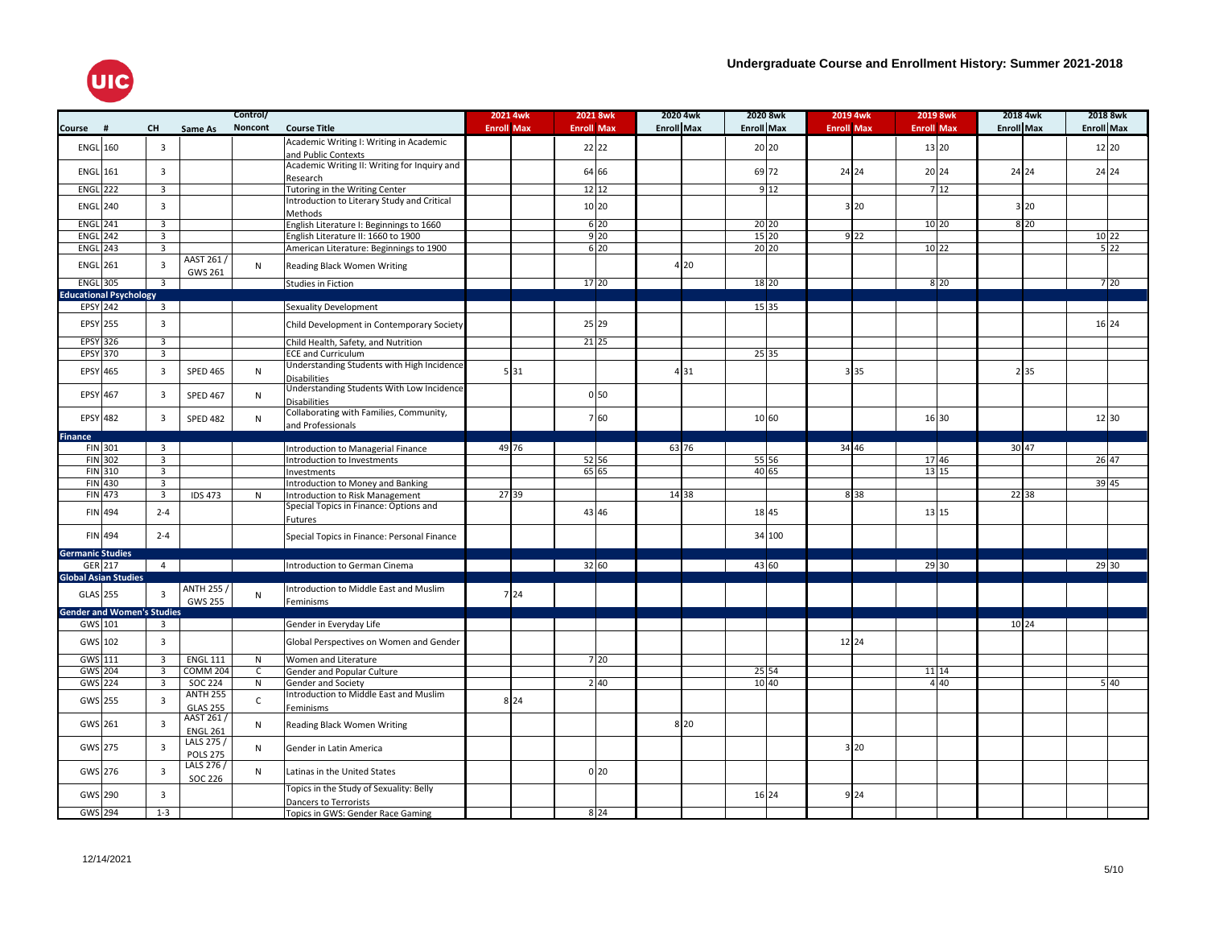

|                         |                                   |                                           |                 | Control/     |                                              | 2021 4wk          | 2021 8wk          | 2020 4wk          |                   | 2020 8wk       | 2019 4wk          | 2019 8wk          | 2018 4wk          |                  | 2018 8wk          |     |
|-------------------------|-----------------------------------|-------------------------------------------|-----------------|--------------|----------------------------------------------|-------------------|-------------------|-------------------|-------------------|----------------|-------------------|-------------------|-------------------|------------------|-------------------|-----|
| Course                  | #                                 | <b>CH</b>                                 | Same As         | Noncont      | <b>Course Title</b>                          | <b>Enroll Max</b> | <b>Enroll Max</b> | <b>Enroll Max</b> | <b>Enroll Max</b> |                | <b>Enroll Max</b> | <b>Enroll Max</b> | <b>Enroll Max</b> |                  | <b>Enroll Max</b> |     |
|                         |                                   |                                           |                 |              | Academic Writing I: Writing in Academic      |                   |                   |                   |                   |                |                   |                   |                   |                  |                   |     |
| <b>ENGL 160</b>         |                                   | $\overline{\mathbf{3}}$                   |                 |              | and Public Contexts                          |                   | 22 22             |                   |                   | 20 20          |                   | 13 20             |                   |                  | 12 20             |     |
|                         |                                   |                                           |                 |              | Academic Writing II: Writing for Inquiry and |                   |                   |                   |                   |                |                   |                   |                   |                  |                   |     |
| <b>ENGL 161</b>         |                                   | $\overline{3}$                            |                 |              | Research                                     |                   | 64 66             |                   |                   | 69 72          | 24 24             | 20 24             | 24 24             |                  | 24 24             |     |
| <b>ENGL 222</b>         |                                   | $\overline{3}$                            |                 |              | Tutoring in the Writing Center               |                   | 12 12             |                   |                   | 912            |                   | 712               |                   |                  |                   |     |
|                         |                                   | $\overline{3}$                            |                 |              | Introduction to Literary Study and Critical  |                   |                   |                   |                   |                |                   |                   |                   |                  |                   |     |
| <b>ENGL 240</b>         |                                   |                                           |                 |              | Methods                                      |                   | 10 20             |                   |                   |                | 3 20              |                   |                   | 3 20             |                   |     |
| <b>ENGL 241</b>         |                                   | $\overline{3}$                            |                 |              | English Literature I: Beginnings to 1660     |                   | $6\overline{20}$  |                   |                   | 20 20          |                   | $10$ 20           |                   | $8\overline{20}$ |                   |     |
| <b>ENGL 242</b>         |                                   | $\overline{3}$                            |                 |              | English Literature II: 1660 to 1900          |                   | 9 <sub>20</sub>   |                   |                   | 15 20          | 9 <sup>22</sup>   |                   |                   |                  | 10 22             |     |
| <b>ENGL 243</b>         |                                   | $\overline{3}$                            |                 |              | American Literature: Beginnings to 1900      |                   | 6 20              |                   |                   | $20\ 20$       |                   | 10 22             |                   |                  |                   | 522 |
| <b>ENGL 261</b>         |                                   | $\overline{3}$                            | AAST 261/       |              |                                              |                   |                   | 4 20              |                   |                |                   |                   |                   |                  |                   |     |
|                         |                                   |                                           | GWS 261         | ${\sf N}$    | Reading Black Women Writing                  |                   |                   |                   |                   |                |                   |                   |                   |                  |                   |     |
| <b>ENGL</b> 305         |                                   | $\overline{\mathbf{3}}$                   |                 |              | Studies in Fiction                           |                   | 17 20             |                   |                   | 18 20          |                   | 8 2 0             |                   |                  |                   | 720 |
|                         | <b>Educational Psychology</b>     |                                           |                 |              |                                              |                   |                   |                   |                   |                |                   |                   |                   |                  |                   |     |
| EPSY 242                |                                   | $\overline{\mathbf{3}}$                   |                 |              | <b>Sexuality Development</b>                 |                   |                   |                   |                   | 15 35          |                   |                   |                   |                  |                   |     |
| EPSY 255                |                                   | $\overline{3}$                            |                 |              |                                              |                   | 25 29             |                   |                   |                |                   |                   |                   |                  | 16 24             |     |
|                         |                                   |                                           |                 |              | Child Development in Contemporary Society    |                   |                   |                   |                   |                |                   |                   |                   |                  |                   |     |
| <b>EPSY</b> 326         |                                   | $\overline{\mathbf{3}}$                   |                 |              | Child Health, Safety, and Nutrition          |                   | 21 25             |                   |                   |                |                   |                   |                   |                  |                   |     |
| EPSY 370                |                                   | $\overline{3}$                            |                 |              | <b>ECE and Curriculum</b>                    |                   |                   |                   |                   | 25 35          |                   |                   |                   |                  |                   |     |
| EPSY 465                |                                   | $\overline{3}$                            | <b>SPED 465</b> | ${\sf N}$    | Understanding Students with High Incidence   | 5 31              |                   | 4 3 1             |                   |                | 3 3 5             |                   |                   | 2 3 5            |                   |     |
|                         |                                   |                                           |                 |              | <b>Disabilities</b>                          |                   |                   |                   |                   |                |                   |                   |                   |                  |                   |     |
| EPSY 467                |                                   | $\overline{3}$                            | <b>SPED 467</b> | $\mathsf{N}$ | Understanding Students With Low Incidence    |                   | 0 50              |                   |                   |                |                   |                   |                   |                  |                   |     |
|                         |                                   |                                           |                 |              | <b>Disabilities</b>                          |                   |                   |                   |                   |                |                   |                   |                   |                  |                   |     |
| EPSY 482                |                                   | $\overline{3}$                            | <b>SPED 482</b> | N            | Collaborating with Families, Community,      |                   | 7 60              |                   |                   | 10 60          |                   | 16 30             |                   |                  | 12 30             |     |
|                         |                                   |                                           |                 |              | and Professionals                            |                   |                   |                   |                   |                |                   |                   |                   |                  |                   |     |
| <b>Finance</b>          |                                   |                                           |                 |              |                                              |                   |                   |                   |                   |                |                   |                   |                   |                  |                   |     |
|                         | FIN 301                           | $\overline{3}$                            |                 |              | Introduction to Managerial Finance           | 49 76             |                   | 63 76             |                   |                | 34 46             |                   | 30 47             |                  |                   |     |
|                         | FIN 302                           | $\overline{\mathbf{3}}$                   |                 |              | Introduction to Investments                  |                   | 52 56             |                   |                   | 55 56          |                   | 17 46             |                   |                  | 26 47             |     |
|                         | <b>FIN</b> 310                    | $\overline{3}$                            |                 |              | Investments                                  |                   | 65 65             |                   |                   | 40 65          |                   | 13 15             |                   |                  |                   |     |
|                         | FIN 430                           | $\overline{3}$                            |                 |              | Introduction to Money and Banking            |                   |                   |                   |                   |                |                   |                   |                   |                  | 39 45             |     |
|                         | FIN 473                           | $\overline{3}$                            | <b>IDS 473</b>  | N            | Introduction to Risk Management              | 27 39             |                   | 14 38             |                   |                | 8 3 8             |                   | 22 38             |                  |                   |     |
|                         | FIN 494                           | $2 - 4$                                   |                 |              | Special Topics in Finance: Options and       |                   | 43 46             |                   |                   | 18 45          |                   | 13 15             |                   |                  |                   |     |
|                         |                                   |                                           |                 |              | Futures                                      |                   |                   |                   |                   |                |                   |                   |                   |                  |                   |     |
|                         | FIN 494                           | $2 - 4$                                   |                 |              | Special Topics in Finance: Personal Finance  |                   |                   |                   |                   | 34 100         |                   |                   |                   |                  |                   |     |
|                         |                                   |                                           |                 |              |                                              |                   |                   |                   |                   |                |                   |                   |                   |                  |                   |     |
| <b>Germanic Studies</b> |                                   |                                           |                 |              |                                              |                   |                   |                   |                   |                |                   |                   |                   |                  |                   |     |
| GER 217                 |                                   | $\overline{4}$                            |                 |              | Introduction to German Cinema                |                   | 32 60             |                   |                   | 43 60          |                   | 29 30             |                   |                  | 29 30             |     |
|                         | <b>Global Asian Studies</b>       |                                           |                 |              |                                              |                   |                   |                   |                   |                |                   |                   |                   |                  |                   |     |
| GLAS 255                |                                   | $\overline{\mathbf{3}}$                   | ANTH 255/       | N            | Introduction to Middle East and Muslim       | 7 24              |                   |                   |                   |                |                   |                   |                   |                  |                   |     |
|                         |                                   |                                           | <b>GWS 255</b>  |              | Feminisms                                    |                   |                   |                   |                   |                |                   |                   |                   |                  |                   |     |
|                         | <b>Gender and Women's Studies</b> |                                           |                 |              |                                              |                   |                   |                   |                   |                |                   |                   |                   |                  |                   |     |
| GWS 101                 |                                   | $\overline{\mathbf{3}}$                   |                 |              | Gender in Everyday Life                      |                   |                   |                   |                   |                |                   |                   | 10 24             |                  |                   |     |
| GWS 102                 |                                   | $\overline{3}$                            |                 |              | Global Perspectives on Women and Gender      |                   |                   |                   |                   |                | 12 24             |                   |                   |                  |                   |     |
| GWS 111                 |                                   | $\overline{3}$                            |                 |              |                                              |                   | 7 20              |                   |                   |                |                   |                   |                   |                  |                   |     |
|                         |                                   |                                           | <b>ENGL 111</b> | N            | Women and Literature                         |                   |                   |                   |                   |                |                   |                   |                   |                  |                   |     |
| GWS 204<br>GWS 224      |                                   | $\overline{\mathbf{3}}$<br>$\overline{3}$ | <b>COMM 204</b> | $\mathsf{C}$ | Gender and Popular Culture                   |                   | 240               |                   |                   | 25 54<br>10 40 |                   | 11 14<br>440      |                   |                  | $\blacksquare$    | 40  |
|                         |                                   |                                           | <b>SOC 224</b>  | N            | Gender and Society                           |                   |                   |                   |                   |                |                   |                   |                   |                  |                   |     |
| GWS 255                 |                                   | $\overline{3}$                            | <b>ANTH 255</b> | $\mathsf{C}$ | Introduction to Middle East and Muslim       | 8 <sup>24</sup>   |                   |                   |                   |                |                   |                   |                   |                  |                   |     |
|                         |                                   |                                           | <b>GLAS 255</b> |              | Feminisms                                    |                   |                   |                   |                   |                |                   |                   |                   |                  |                   |     |
| GWS 261                 |                                   | $\overline{3}$                            | AAST 261/       | N            | Reading Black Women Writing                  |                   |                   | 8 20              |                   |                |                   |                   |                   |                  |                   |     |
|                         |                                   |                                           | <b>ENGL 261</b> |              |                                              |                   |                   |                   |                   |                |                   |                   |                   |                  |                   |     |
| GWS 275                 |                                   | $\overline{3}$                            | LALS 275 /      | N            | Gender in Latin America                      |                   |                   |                   |                   |                | 3 20              |                   |                   |                  |                   |     |
|                         |                                   |                                           | <b>POLS 275</b> |              |                                              |                   |                   |                   |                   |                |                   |                   |                   |                  |                   |     |
| GWS 276                 |                                   | $\overline{3}$                            | LALS 276 /      | N            | Latinas in the United States                 |                   | 0 <sub>20</sub>   |                   |                   |                |                   |                   |                   |                  |                   |     |
|                         |                                   |                                           | <b>SOC 226</b>  |              |                                              |                   |                   |                   |                   |                |                   |                   |                   |                  |                   |     |
| GWS 290                 |                                   | $\overline{3}$                            |                 |              | Topics in the Study of Sexuality: Belly      |                   |                   |                   |                   | 16 24          | 9 2 4             |                   |                   |                  |                   |     |
|                         |                                   |                                           |                 |              | Dancers to Terrorists                        |                   |                   |                   |                   |                |                   |                   |                   |                  |                   |     |
| GWS 294                 |                                   | $1 - 3$                                   |                 |              | Topics in GWS: Gender Race Gaming            |                   | 8 2 4             |                   |                   |                |                   |                   |                   |                  |                   |     |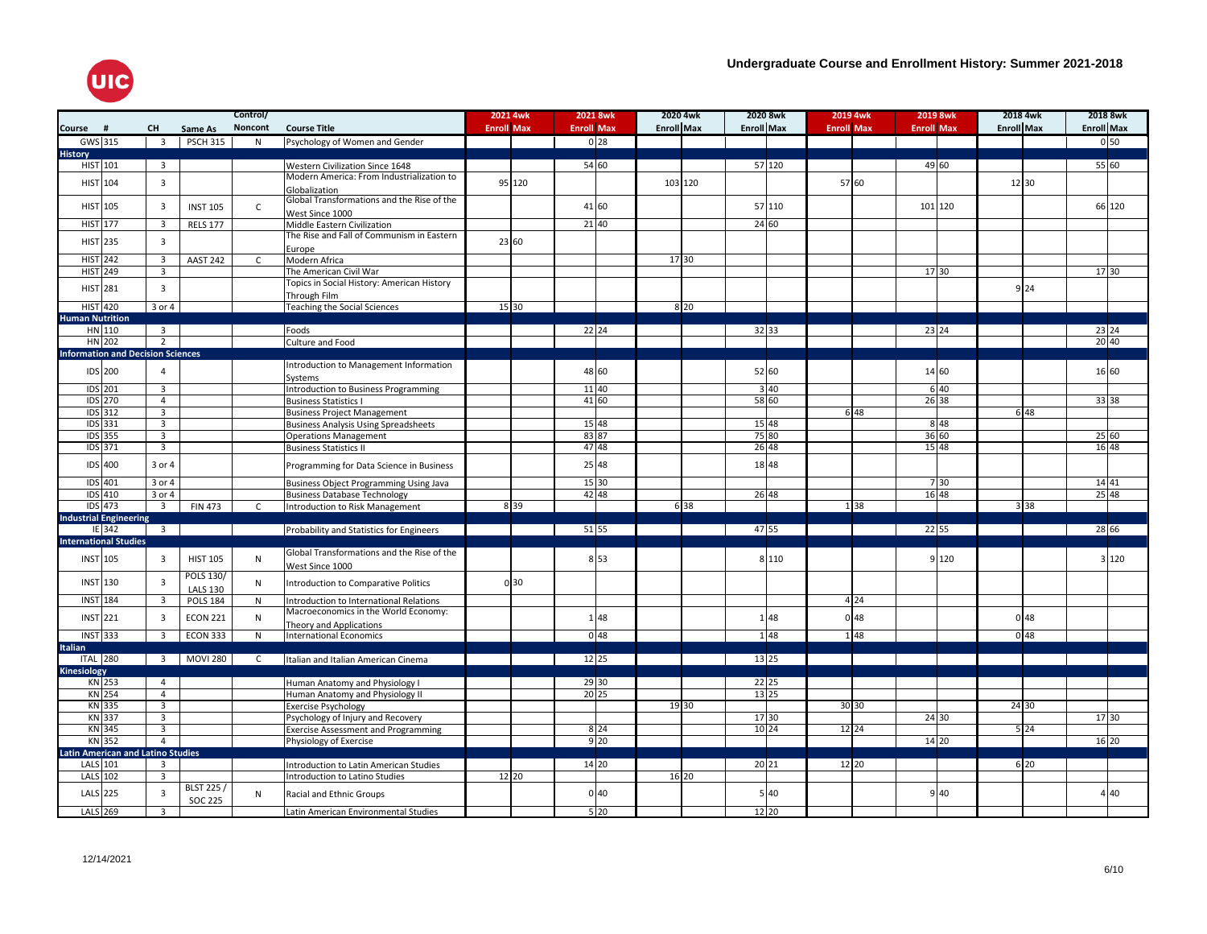

|                                          |                                  |                  | Control/     |                                                               | 2021 4wk          |                 | 2021 8wk          |                 | 2020 4wk          | 2020 8wk          |        | 2019 4wk          | 2019 8wk          |                   | 2018 4wk |                   | 2018 8wk        |
|------------------------------------------|----------------------------------|------------------|--------------|---------------------------------------------------------------|-------------------|-----------------|-------------------|-----------------|-------------------|-------------------|--------|-------------------|-------------------|-------------------|----------|-------------------|-----------------|
| Course<br>#                              | <b>CH</b>                        | Same As          | Noncont      | <b>Course Title</b>                                           | <b>Enroll Max</b> |                 | <b>Enroll Max</b> |                 | <b>Enroll Max</b> | <b>Enroll Max</b> |        | <b>Enroll Max</b> | <b>Enroll Max</b> | <b>Enroll Max</b> |          | <b>Enroll Max</b> |                 |
| $GWS$ 315                                | $\overline{\mathbf{3}}$          | <b>PSCH 315</b>  | N            | Psychology of Women and Gender                                |                   |                 |                   | 0 <sub>28</sub> |                   |                   |        |                   |                   |                   |          |                   | 0 <sub>50</sub> |
| <b>History</b>                           |                                  |                  |              |                                                               |                   |                 |                   |                 |                   |                   |        |                   |                   |                   |          |                   |                 |
| HIST 101                                 | $\overline{\mathbf{3}}$          |                  |              | Western Civilization Since 1648                               |                   |                 | 5460              |                 |                   |                   | 57 120 |                   | 49 60             |                   |          |                   | 55 60           |
| HIST 104                                 | $\overline{3}$                   |                  |              | Modern America: From Industrialization to                     |                   | 95 120          |                   |                 | 103 120           |                   |        | 57 60             |                   |                   | 12 30    |                   |                 |
|                                          |                                  |                  |              | Globalization                                                 |                   |                 |                   |                 |                   |                   |        |                   |                   |                   |          |                   |                 |
| <b>HIST 105</b>                          | $\overline{3}$                   | <b>INST 105</b>  | $\mathsf{C}$ | Global Transformations and the Rise of the                    |                   |                 | 41 60             |                 |                   | 57 110            |        |                   | 101 120           |                   |          |                   | 66 120          |
|                                          |                                  |                  |              | West Since 1000                                               |                   |                 |                   |                 |                   |                   |        |                   |                   |                   |          |                   |                 |
| <b>HIST 177</b>                          | $\overline{3}$                   | <b>RELS 177</b>  |              | Middle Eastern Civilization                                   |                   |                 | 21 40             |                 |                   | 24 60             |        |                   |                   |                   |          |                   |                 |
| HIST 235                                 | $\overline{3}$                   |                  |              | The Rise and Fall of Communism in Eastern                     |                   | 23 60           |                   |                 |                   |                   |        |                   |                   |                   |          |                   |                 |
|                                          |                                  |                  |              | Europe                                                        |                   |                 |                   |                 |                   |                   |        |                   |                   |                   |          |                   |                 |
| <b>HIST 242</b><br><b>HIST 249</b>       | $\overline{3}$<br>$\overline{3}$ | <b>AAST 242</b>  | $\mathsf{C}$ | Modern Africa<br>The American Civil War                       |                   |                 |                   |                 | 17 30             |                   |        |                   | 17 30             |                   |          |                   | 17 30           |
|                                          |                                  |                  |              | Topics in Social History: American History                    |                   |                 |                   |                 |                   |                   |        |                   |                   |                   |          |                   |                 |
| <b>HIST 281</b>                          | $\overline{3}$                   |                  |              | Through Film                                                  |                   |                 |                   |                 |                   |                   |        |                   |                   |                   | 9 2 4    |                   |                 |
| <b>HIST</b> 420                          | 3 or 4                           |                  |              | <b>Teaching the Social Sciences</b>                           |                   | 15 30           |                   |                 | 8 20              |                   |        |                   |                   |                   |          |                   |                 |
| <b>Human Nutrition</b>                   |                                  |                  |              |                                                               |                   |                 |                   |                 |                   |                   |        |                   |                   |                   |          |                   |                 |
| HN 110                                   | $\overline{3}$                   |                  |              | Foods                                                         |                   |                 | $22\,24$          |                 |                   | 32 33             |        |                   | 23 24             |                   |          |                   | 23 24           |
| HN 202                                   | 2                                |                  |              | Culture and Food                                              |                   |                 |                   |                 |                   |                   |        |                   |                   |                   |          |                   | 2040            |
| <b>Information and Decision Sciences</b> |                                  |                  |              |                                                               |                   |                 |                   |                 |                   |                   |        |                   |                   |                   |          |                   |                 |
| IDS 200                                  | $\overline{4}$                   |                  |              | Introduction to Management Information                        |                   |                 | 48 60             |                 |                   | 52 60             |        |                   | 14 60             |                   |          |                   | 16 60           |
|                                          |                                  |                  |              | Systems                                                       |                   |                 |                   |                 |                   |                   |        |                   |                   |                   |          |                   |                 |
| <b>IDS</b> 201                           | $\overline{\mathbf{3}}$          |                  |              | Introduction to Business Programming                          |                   |                 | 11 40             |                 |                   |                   | 340    |                   | 6 40              |                   |          |                   |                 |
| <b>IDS</b> 270                           | $\overline{4}$                   |                  |              | <b>Business Statistics I</b>                                  |                   |                 | 41 60             |                 |                   | 58 60             |        |                   | 26 38             |                   |          |                   | 33 38           |
| <b>IDS</b> 312                           | $\overline{3}$                   |                  |              | <b>Business Project Management</b>                            |                   |                 |                   |                 |                   |                   |        | 6 48              |                   |                   | 6 48     |                   |                 |
| <b>IDS</b> 331<br><b>IDS</b> 355         | $\overline{3}$<br>$\overline{3}$ |                  |              | <b>Business Analysis Using Spreadsheets</b>                   |                   |                 | 15 48<br>83 87    |                 |                   | 15 48<br>75 80    |        |                   | 8 4 8<br>36 60    |                   |          |                   |                 |
| IDS 371                                  | $\overline{3}$                   |                  |              | <b>Operations Management</b><br><b>Business Statistics II</b> |                   |                 | 47 48             |                 |                   | 26/48             |        |                   | 15 48             |                   |          |                   | 25 60<br>16 48  |
|                                          |                                  |                  |              |                                                               |                   |                 |                   |                 |                   |                   |        |                   |                   |                   |          |                   |                 |
| IDS 400                                  | 3 or 4                           |                  |              | Programming for Data Science in Business                      |                   |                 | 25 48             |                 |                   | 18 48             |        |                   |                   |                   |          |                   |                 |
| IDS 401                                  | 3 or 4                           |                  |              | <b>Business Object Programming Using Java</b>                 |                   |                 | 15 30             |                 |                   |                   |        |                   | 7 30              |                   |          |                   | 14 41           |
| IDS 410                                  | 3 or 4                           |                  |              | <b>Business Database Technology</b>                           |                   |                 | 42 48             |                 |                   | 26 48             |        |                   | 16 48             |                   |          |                   | 25 48           |
| $IDS$ 473                                | $\overline{\mathbf{3}}$          | <b>FIN 473</b>   | $\mathsf{C}$ | Introduction to Risk Management                               |                   | 8 3 9           |                   |                 | 6 38              |                   |        | 1 3 8             |                   |                   | 3 3 8    |                   |                 |
| <b>Industrial Engineering</b>            |                                  |                  |              |                                                               |                   |                 |                   |                 |                   |                   |        |                   |                   |                   |          |                   |                 |
| IE 342                                   | $\overline{\mathbf{3}}$          |                  |              | Probability and Statistics for Engineers                      |                   |                 | 51 55             |                 |                   | 47 55             |        |                   | 22 55             |                   |          |                   | 28 66           |
| <b>International Studies</b>             |                                  |                  |              |                                                               |                   |                 |                   |                 |                   |                   |        |                   |                   |                   |          |                   |                 |
| INST 105                                 | $\overline{3}$                   | <b>HIST 105</b>  | N            | Global Transformations and the Rise of the                    |                   |                 |                   | 8 5 3           |                   |                   | 8 110  |                   | 9 1 2 0           |                   |          |                   | 3 1 2 0         |
|                                          |                                  |                  |              | West Since 1000                                               |                   |                 |                   |                 |                   |                   |        |                   |                   |                   |          |                   |                 |
| INST 130                                 | $\overline{3}$                   | <b>POLS 130/</b> | N            | Introduction to Comparative Politics                          |                   | 0 <sub>30</sub> |                   |                 |                   |                   |        |                   |                   |                   |          |                   |                 |
|                                          |                                  | <b>LALS 130</b>  |              |                                                               |                   |                 |                   |                 |                   |                   |        |                   |                   |                   |          |                   |                 |
| <b>INST 184</b>                          | $\overline{3}$                   | <b>POLS 184</b>  | $\mathsf{N}$ | Introduction to International Relations                       |                   |                 |                   |                 |                   |                   |        | 4 2 4             |                   |                   |          |                   |                 |
| <b>INST 221</b>                          | $\overline{\mathbf{3}}$          | <b>ECON 221</b>  | $\mathsf{N}$ | Macroeconomics in the World Economy:                          |                   |                 |                   | 148             |                   |                   | 148    | 0 <sub>48</sub>   |                   |                   | 048      |                   |                 |
| <b>INST</b> 333                          | $\overline{\mathbf{3}}$          | <b>ECON 333</b>  |              | Theory and Applications                                       |                   |                 |                   | 0 <sup>48</sup> |                   |                   | 148    | 148               |                   |                   | 048      |                   |                 |
| <b>Italian</b>                           |                                  |                  | $\mathsf{N}$ | International Economics                                       |                   |                 |                   |                 |                   |                   |        |                   |                   |                   |          |                   |                 |
| <b>ITAL 280</b>                          | $\overline{\mathbf{3}}$          | <b>MOVI 280</b>  | C            | Italian and Italian American Cinema                           |                   |                 | 12 25             |                 |                   | 13 25             |        |                   |                   |                   |          |                   |                 |
| Kinesiology                              |                                  |                  |              |                                                               |                   |                 |                   |                 |                   |                   |        |                   |                   |                   |          |                   |                 |
| KN 253                                   | $\overline{4}$                   |                  |              | Human Anatomy and Physiology I                                |                   |                 | 29 30             |                 |                   | 22 25             |        |                   |                   |                   |          |                   |                 |
| <b>KN 254</b>                            | $\overline{4}$                   |                  |              | Human Anatomy and Physiology II                               |                   |                 | 20 25             |                 |                   | 13 25             |        |                   |                   |                   |          |                   |                 |
| KN 335                                   | $\overline{3}$                   |                  |              | <b>Exercise Psychology</b>                                    |                   |                 |                   |                 | 19 30             |                   |        | 30 30             |                   |                   | 24 30    |                   |                 |
| KN 337                                   | $\overline{3}$                   |                  |              | Psychology of Injury and Recovery                             |                   |                 |                   |                 |                   | 17 30             |        |                   | 24 30             |                   |          |                   | 17 30           |
| KN 345                                   | $\overline{3}$                   |                  |              | <b>Exercise Assessment and Programming</b>                    |                   |                 |                   | 8 2 4           |                   | $10\overline{24}$ |        | 12 24             |                   |                   | 5 2 4    |                   |                 |
| KN 352                                   | $\overline{4}$                   |                  |              | Physiology of Exercise                                        |                   |                 |                   | 9 <sub>20</sub> |                   |                   |        |                   | 14 20             |                   |          |                   | 16 20           |
| <b>Latin American and Latino Studies</b> |                                  |                  |              |                                                               |                   |                 |                   |                 |                   |                   |        |                   |                   |                   |          |                   |                 |
| LALS 101                                 | $\overline{\mathbf{3}}$          |                  |              | Introduction to Latin American Studies                        |                   |                 | 14 20             |                 |                   | 20 21             |        | 12 20             |                   |                   | 6 20     |                   |                 |
| LALS 102                                 | $\overline{3}$                   |                  |              | Introduction to Latino Studies                                |                   | 12 20           |                   |                 | 16 20             |                   |        |                   |                   |                   |          |                   |                 |
| LALS 225                                 | $\overline{3}$                   | <b>BLST 225/</b> | N            | Racial and Ethnic Groups                                      |                   |                 |                   | 0 <sub>40</sub> |                   |                   | 5 40   |                   | 9 40              |                   |          |                   | 4 40            |
|                                          | $\overline{3}$                   | <b>SOC 225</b>   |              |                                                               |                   |                 |                   |                 |                   |                   |        |                   |                   |                   |          |                   |                 |
| <b>LALS</b> 269                          |                                  |                  |              | Latin American Environmental Studies                          |                   |                 |                   | 520             |                   | 12 20             |        |                   |                   |                   |          |                   |                 |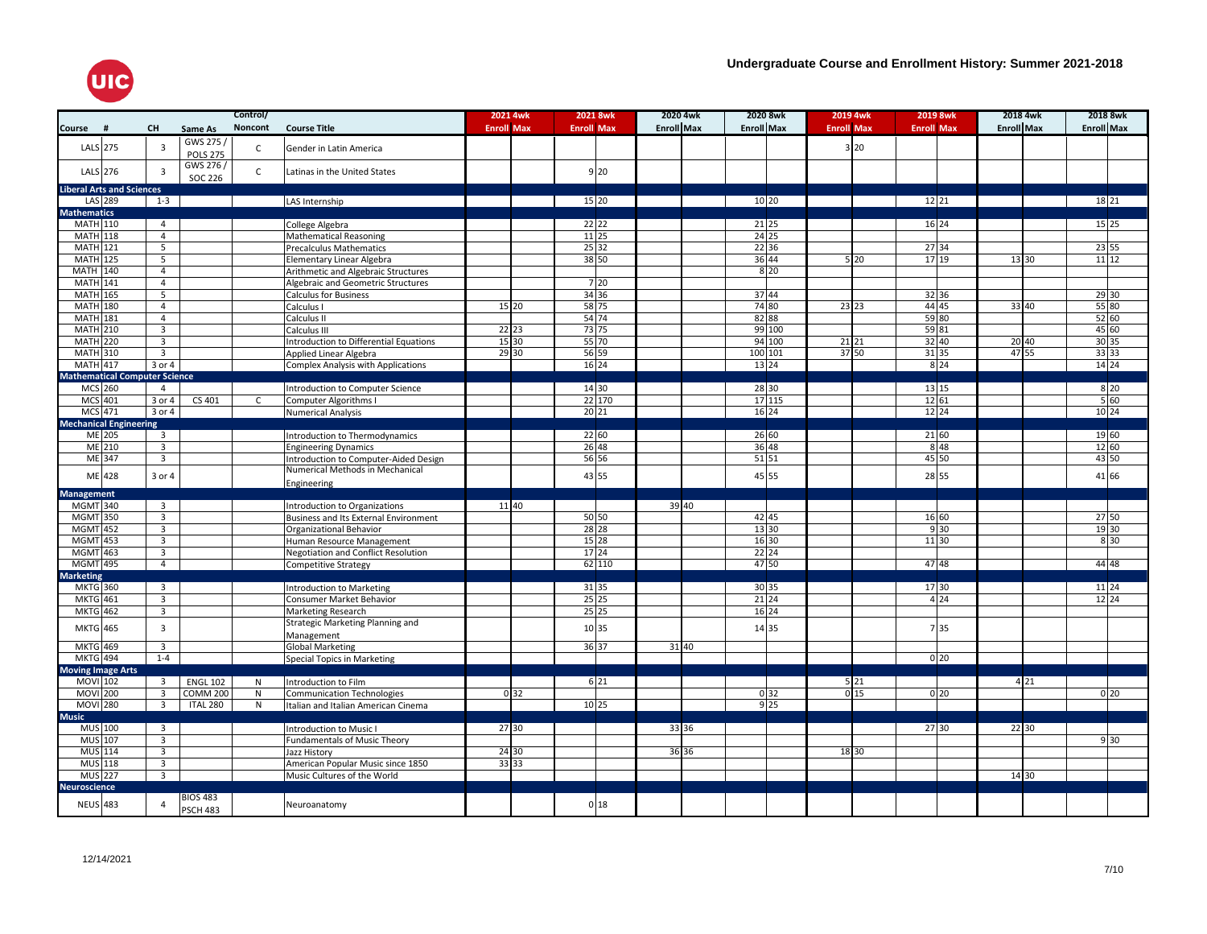

|                           |                                             |                          |                              | Control/     |                                                               | 2021 4wk           | 2021 8wk           | 2020 4wk          | 2020 8wk          | 2019 4wk          | 2019 8wk                  | 2018 4wk          | 2018 8wk                   |
|---------------------------|---------------------------------------------|--------------------------|------------------------------|--------------|---------------------------------------------------------------|--------------------|--------------------|-------------------|-------------------|-------------------|---------------------------|-------------------|----------------------------|
| Course                    | #                                           | <b>CH</b>                | Same As                      | Noncont      | <b>Course Title</b>                                           | <b>Enroll Max</b>  | <b>Enroll Max</b>  | <b>Enroll Max</b> | <b>Enroll Max</b> | <b>Enroll Max</b> | <b>Enroll Max</b>         | <b>Enroll Max</b> | <b>Enroll Max</b>          |
| LALS 275                  |                                             | $\overline{\mathbf{3}}$  | GWS 275 /<br><b>POLS 275</b> | C            | Gender in Latin America                                       |                    |                    |                   |                   | 3 20              |                           |                   |                            |
| LALS 276                  |                                             | $\overline{3}$           | GWS 276 /                    | $\mathsf{C}$ | Latinas in the United States                                  |                    | 9'20               |                   |                   |                   |                           |                   |                            |
|                           |                                             |                          | SOC 226                      |              |                                                               |                    |                    |                   |                   |                   |                           |                   |                            |
|                           | <b>Liberal Arts and Sciences</b><br>LAS 289 | $1 - 3$                  |                              |              | LAS Internship                                                |                    | 15 20              |                   | 10 20             |                   | 12 21                     |                   | 18 21                      |
| <b>Mathematics</b>        |                                             |                          |                              |              |                                                               |                    |                    |                   |                   |                   |                           |                   |                            |
| <b>MATH 110</b>           |                                             | $\overline{4}$           |                              |              | College Algebra                                               |                    | $\frac{22}{22}$    |                   | 21 25             |                   | $16\overline{24}$         |                   | $15\overline{\smash{)}25}$ |
| <b>MATH 118</b>           |                                             | $\overline{4}$           |                              |              | <b>Mathematical Reasoning</b>                                 |                    | $11\,25$           |                   | 24 25             |                   |                           |                   |                            |
| <b>MATH 121</b>           |                                             | $\overline{5}$           |                              |              | <b>Precalculus Mathematics</b>                                |                    | $\overline{25}$ 32 |                   | $22\,36$          |                   | 27 34                     |                   | 23 55                      |
| <b>MATH 125</b>           |                                             | $5\overline{5}$          |                              |              | Elementary Linear Algebra                                     |                    | 38 50              |                   | 36 44             | 5 20              | 17 19                     | 13 30             | $\boxed{11}$               |
| MATH 140                  |                                             | $\overline{4}$           |                              |              | Arithmetic and Algebraic Structures                           |                    |                    |                   | 8 <sup>20</sup>   |                   |                           |                   |                            |
| <b>MATH</b> 141           |                                             | $\overline{4}$           |                              |              | Algebraic and Geometric Structures                            |                    | 7 20               |                   |                   |                   |                           |                   |                            |
| <b>MATH 165</b>           |                                             | 5                        |                              |              | <b>Calculus for Business</b>                                  |                    | 34 36              |                   | 37 44             |                   | 32 36                     |                   | 29 30                      |
| <b>MATH 180</b>           |                                             | $\overline{4}$           |                              |              | Calculus I                                                    | 15 20              | 58 75              |                   | 74 80             | 23 23             | 44 45                     | 33 40             | 55 80                      |
| <b>MATH</b> 181           |                                             | $\overline{4}$           |                              |              | Calculus II                                                   |                    | 54 74              |                   | 82 88             |                   | 59 80                     |                   | 5260                       |
| <b>MATH 210</b>           |                                             | $\overline{3}$           |                              |              | Calculus III                                                  | 22 23              | 73 75              |                   | 99 100            |                   | 59 81                     |                   | 45 60                      |
| <b>MATH 220</b>           |                                             | 3                        |                              |              | Introduction to Differential Equations                        | 15 30              | 55 70              |                   | 94 100            | 21 21             | 32 40                     | 20 40             | 30 35                      |
| <b>MATH 310</b>           |                                             | $\overline{3}$           |                              |              | Applied Linear Algebra                                        | 29 30              | 56 59              |                   | 100 101           | 37 50             | 31 35                     | 47 55             | 33 33                      |
| <b>MATH 417</b>           |                                             | $3$ or $4$               |                              |              | Complex Analysis with Applications                            |                    | $16\overline{24}$  |                   | 13 24             |                   | 8 2 4                     |                   | 14 24                      |
|                           | <b>Mathematical Computer Science</b>        |                          |                              |              |                                                               |                    |                    |                   |                   |                   |                           |                   |                            |
| MCS 260<br><b>MCS</b> 401 |                                             | $\overline{4}$<br>3 or 4 | CS 401                       | $\mathsf{C}$ | Introduction to Computer Science<br>Computer Algorithms I     |                    | 14 30<br>22 170    |                   | 28 30<br>17 115   |                   | 13 15<br>12 61            |                   | 8 2 0<br>$5\overline{60}$  |
| <b>MCS</b> 471            |                                             | 3 or 4                   |                              |              | <b>Numerical Analysis</b>                                     |                    | 20 21              |                   | $16\,24$          |                   | $12$ 24                   |                   | 10 24                      |
|                           | <b>Mechanical Engineering</b>               |                          |                              |              |                                                               |                    |                    |                   |                   |                   |                           |                   |                            |
|                           | ME 205                                      | $\overline{\mathbf{3}}$  |                              |              | Introduction to Thermodynamics                                |                    | 22 60              |                   | 26 60             |                   | 21 60                     |                   | 19 60                      |
|                           | <b>ME</b> 210                               | $\overline{\mathbf{3}}$  |                              |              | <b>Engineering Dynamics</b>                                   |                    | 26 48              |                   | 36 48             |                   | 8 4 8                     |                   | 12 60                      |
|                           | ME 347                                      | $\overline{\mathbf{3}}$  |                              |              | Introduction to Computer-Aided Design                         |                    | 56 56              |                   | $51\overline{51}$ |                   | 45 50                     |                   | 43 50                      |
|                           | ME 428                                      | 3 or 4                   |                              |              | Numerical Methods in Mechanical<br>Engineering                |                    | 43 55              |                   | 45 55             |                   | 28 55                     |                   | 41 66                      |
| <b>Management</b>         |                                             |                          |                              |              |                                                               |                    |                    |                   |                   |                   |                           |                   |                            |
| MGMT 340                  |                                             | $\overline{3}$           |                              |              | Introduction to Organizations                                 | $\overline{11}$ 40 |                    | 39   40           |                   |                   |                           |                   |                            |
| <b>MGMT 350</b>           |                                             | $\overline{3}$           |                              |              | Business and Its External Environment                         |                    | 50 50              |                   | 42 45             |                   | 16 60                     |                   | 27 50                      |
| <b>MGMT</b> 452           |                                             | $\overline{3}$           |                              |              | Organizational Behavior                                       |                    | $28$ 28            |                   | 13 30             |                   | 9 30                      |                   | 19 30                      |
| <b>MGMT</b> 453           |                                             | $\overline{3}$           |                              |              | Human Resource Management                                     |                    | 15 28              |                   | 16 30             |                   | $\boxed{11}$ $\boxed{30}$ |                   | 8 30                       |
| MGMT 463                  |                                             | $\overline{3}$           |                              |              | Negotiation and Conflict Resolution                           |                    | 17 24              |                   | 22 24             |                   |                           |                   |                            |
| <b>MGMT</b> 495           |                                             | $\overline{4}$           |                              |              | Competitive Strategy                                          |                    | 62 110             |                   | 47 50             |                   | 47 48                     |                   | 44 48                      |
| Marketing                 |                                             |                          |                              |              |                                                               |                    |                    |                   |                   |                   |                           |                   |                            |
| MKTG 360                  |                                             | $\overline{\mathbf{3}}$  |                              |              | Introduction to Marketing                                     |                    | 31 35              |                   | 30 35             |                   | 17 30                     |                   | 11 24                      |
| <b>MKTG</b> 461           |                                             | 3                        |                              |              | Consumer Market Behavior                                      |                    | 25 25<br>25 25     |                   | 21 24             |                   | 4 2 4                     |                   | $12\overline{24}$          |
| <b>MKTG 462</b>           |                                             | $\overline{3}$           |                              |              | Marketing Research<br><b>Strategic Marketing Planning and</b> |                    |                    |                   | 16 24             |                   |                           |                   |                            |
| <b>MKTG</b> 465           |                                             | $\overline{3}$           |                              |              | Management                                                    |                    | 10 35              |                   | 14 35             |                   | 735                       |                   |                            |
| <b>MKTG</b> 469           |                                             | $\overline{\mathbf{3}}$  |                              |              | <b>Global Marketing</b>                                       |                    | 36 37              | 31 40             |                   |                   |                           |                   |                            |
| <b>MKTG</b> 494           |                                             | $1 - 4$                  |                              |              | Special Topics in Marketing                                   |                    |                    |                   |                   |                   | 0 <sub>20</sub>           |                   |                            |
| <b>Moving Image Arts</b>  |                                             |                          |                              |              |                                                               |                    |                    |                   |                   |                   |                           |                   |                            |
| <b>MOVI</b> 102           |                                             | $\overline{\mathbf{3}}$  | <b>ENGL 102</b>              | N            | Introduction to Film                                          |                    | 6 21               |                   |                   | 5 21              |                           | 4 2 1             |                            |
| <b>MOVI</b> 200           |                                             | $\overline{3}$           | <b>COMM 200</b>              | N            | <b>Communication Technologies</b>                             | 0 <sub>32</sub>    |                    |                   | 0 32              | 015               | 0 <sub>20</sub>           |                   | 0 <sup>20</sup>            |
| <b>MOVI</b> 280           |                                             | $\overline{3}$           | ITAL 280                     | $\mathsf{N}$ | Italian and Italian American Cinema                           |                    | 10 25              |                   | $9$ 25            |                   |                           |                   |                            |
| <b>Music</b>              |                                             |                          |                              |              |                                                               |                    |                    |                   |                   |                   |                           |                   |                            |
| MUS 100                   |                                             | $\overline{\mathbf{3}}$  |                              |              | Introduction to Music I                                       | 27 30              |                    | 33 36             |                   |                   | 27 30                     | 22 30             |                            |
| MUS 107                   |                                             | $\overline{\mathbf{3}}$  |                              |              | <b>Fundamentals of Music Theory</b>                           |                    |                    |                   |                   |                   |                           |                   | 930                        |
| <b>MUS</b> 114            |                                             | $\overline{3}$           |                              |              | Jazz History                                                  | 24 30              |                    | 36 36             |                   | 18 30             |                           |                   |                            |
| MUS 118                   |                                             | $\overline{3}$           |                              |              | American Popular Music since 1850                             | 33 33              |                    |                   |                   |                   |                           |                   |                            |
| <b>MUS 227</b>            |                                             | $\overline{3}$           |                              |              | Music Cultures of the World                                   |                    |                    |                   |                   |                   |                           | 14 30             |                            |
| <b>Neuroscience</b>       |                                             |                          |                              |              |                                                               |                    |                    |                   |                   |                   |                           |                   |                            |
| <b>NEUS 483</b>           |                                             | $\overline{4}$           | <b>BIOS 483</b>              |              | Neuroanatomy                                                  |                    | 018                |                   |                   |                   |                           |                   |                            |
|                           |                                             |                          | <b>PSCH 483</b>              |              |                                                               |                    |                    |                   |                   |                   |                           |                   |                            |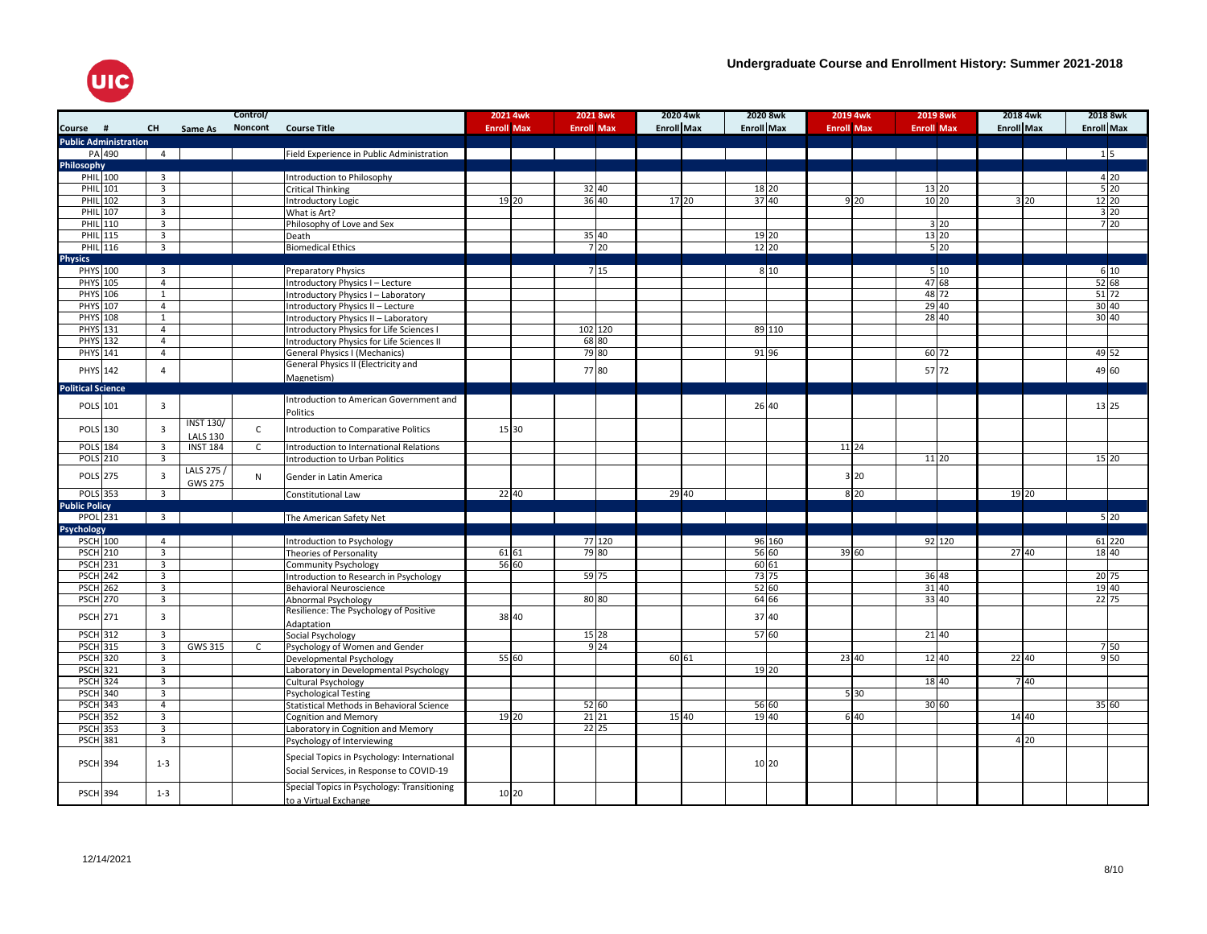

| <b>Enroll Max</b><br>Noncont<br><b>Enroll Max</b><br><b>Enroll Max</b><br><b>Enroll Max</b><br><b>Course</b><br>#<br>CH<br><b>Course Title</b><br><b>Enroll Max</b><br><b>Enroll Max</b><br><b>Enroll Max</b><br><b>Enroll Max</b><br>Same As<br><b>Public Administration</b><br>PA 490<br>$\overline{4}$<br>Field Experience in Public Administration<br>$1\overline{5}$<br>Philosophy<br>PHIL 100<br>$\overline{3}$<br>4 2 0<br>Introduction to Philosophy<br>$5\overline{20}$<br><b>PHIL</b> 101<br>$\overline{\mathbf{3}}$<br>32 40<br>18 20<br>13 20<br><b>Critical Thinking</b><br>36 40<br>12 20<br><b>PHIL 102</b><br>37 40<br>3<br>Introductory Logic<br>19 20<br>17 20<br>9 20<br>10 20<br>3 20<br><b>PHIL 107</b><br>$\overline{3}$<br>3 20<br>What is Art?<br>720<br>PHIL 110<br>3<br>Philosophy of Love and Sex<br>3 20<br>PHIL 115<br>$\overline{3}$<br>35 40<br>19 20<br>13 20<br>Death<br>720<br>$5\overline{20}$<br>12 20<br>PHIL 116<br>$\overline{3}$<br><b>Biomedical Ethics</b><br><b>Physics</b><br>715<br>810<br>PHYS 100<br>$\overline{3}$<br>510<br>6 10<br>Preparatory Physics<br>5268<br>PHYS 105<br>$\overline{4}$<br>47 68<br>Introductory Physics I - Lecture<br>51 72<br>48 72<br>PHYS 106<br>$\mathbf{1}$<br>Introductory Physics I - Laboratory<br><b>PHYS</b> 107<br>$\overline{4}$<br>29 40<br>30 40<br>Introductory Physics II - Lecture<br>30 40<br>28 40<br>PHYS 108<br>$\mathbf{1}$<br>Introductory Physics II - Laboratory<br><b>PHYS</b> 131<br>102 120<br>89 110<br>$\overline{4}$<br>Introductory Physics for Life Sciences I<br>PHYS 132<br>68 80<br>$\overline{4}$<br>Introductory Physics for Life Sciences II<br>79 80<br>91 96<br>49 52<br>PHYS 141<br>$\overline{4}$<br><b>General Physics I (Mechanics)</b><br>60 72<br>General Physics II (Electricity and<br>77 80<br>57 72<br>49 60<br>PHYS 142<br>$\overline{4}$<br>Magnetism)<br><b>Political Science</b><br>Introduction to American Government and<br>POLS 101<br>$\overline{3}$<br>26 40<br>13 25<br>Politics<br><b>INST 130/</b><br>$\overline{\mathbf{3}}$<br>15 30<br>POLS 130<br>$\mathsf{C}$<br>Introduction to Comparative Politics<br><b>LALS 130</b><br><b>POLS</b> 184<br>11 24<br><b>INST 184</b><br>$\mathsf{C}$<br>Introduction to International Relations<br><b>POLS</b> 210<br>$\overline{\mathbf{3}}$<br>11 20<br>15 20<br>Introduction to Urban Politics<br>LALS 275 /<br>$\overline{\mathbf{3}}$<br><b>POLS</b> 275<br>3 20<br>N<br>Gender in Latin America<br><b>GWS 275</b><br><b>POLS</b> 353<br>22 40<br>29 40<br>8 20<br>$\overline{\mathbf{3}}$<br>19 20<br>Constitutional Law<br><b>Public Policy</b><br><b>PPOL</b> 231<br>520<br>3 <sup>3</sup><br>The American Safety Net<br>Psychology<br><b>PSCH 100</b><br>77 120<br>96 160<br>92 120<br>61 220<br>$\overline{4}$<br>Introduction to Psychology<br>79 80<br>56 60<br>18 40<br><b>PSCH 210</b><br>$\overline{\mathbf{3}}$<br>27 40<br>61 61<br>39 60<br>Theories of Personality<br>56 60<br><b>PSCH 231</b><br>60 61<br>$\overline{3}$<br><b>Community Psychology</b><br>73 75<br>59 75<br>20 75<br><b>PSCH 242</b><br>$\overline{3}$<br>36 48<br>Introduction to Research in Psychology<br>$31 40$<br>19 40<br>52 60<br><b>PSCH 262</b><br>3<br><b>Behavioral Neuroscience</b><br>33 40<br>22 75<br><b>PSCH 270</b><br>80 80<br>64 66<br>$\overline{\mathbf{3}}$<br>Abnormal Psychology<br>Resilience: The Psychology of Positive<br>38 40<br>37 40<br><b>PSCH 271</b><br>3<br>Adaptation<br><b>PSCH 312</b><br>15 28<br>57 60<br>2140<br>$\overline{3}$<br>Social Psychology<br>9 <sup>24</sup><br><b>PSCH 315</b><br>$\overline{\mathbf{3}}$<br>GWS 315<br>Psychology of Women and Gender<br>7 50<br>$\mathsf{C}$<br>23 40<br>12 40<br><b>PSCH 320</b><br>$\overline{3}$<br>55 60<br>60 61<br>22 40<br>9 50<br>Developmental Psychology<br><b>PSCH 321</b><br>$\overline{\mathbf{3}}$<br>19 20<br>Laboratory in Developmental Psychology<br>18 40<br><b>PSCH 324</b><br>$\overline{3}$<br>7 40<br>Cultural Psychology<br><b>PSCH 340</b><br>5 30<br>$\overline{3}$<br><b>Psychological Testing</b><br>35 60<br><b>PSCH 343</b><br>52 60<br>56 60<br>30 60<br>$\overline{4}$<br>Statistical Methods in Behavioral Science<br><b>PSCH 352</b><br>$\overline{3}$<br>19 20<br>21 21<br>15 40<br>19 40<br>6 40<br>14 40<br><b>Cognition and Memory</b><br>$22\overline{25}$<br><b>PSCH 353</b><br>3<br>Laboratory in Cognition and Memory<br><b>PSCH 381</b><br>4 20<br>3<br>Psychology of Interviewing<br>Special Topics in Psychology: International<br><b>PSCH 394</b><br>10 20<br>$1 - 3$<br>Social Services, in Response to COVID-19<br>Special Topics in Psychology: Transitioning<br><b>PSCH 394</b><br>10 20<br>$1 - 3$ |  |  | Control/ |                       | 2021 4wk | 2021 8wk | 2020 4wk |  | 2020 8wk | 2019 4wk | 2019 8wk | 2018 4wk | 2018 8wk |  |
|----------------------------------------------------------------------------------------------------------------------------------------------------------------------------------------------------------------------------------------------------------------------------------------------------------------------------------------------------------------------------------------------------------------------------------------------------------------------------------------------------------------------------------------------------------------------------------------------------------------------------------------------------------------------------------------------------------------------------------------------------------------------------------------------------------------------------------------------------------------------------------------------------------------------------------------------------------------------------------------------------------------------------------------------------------------------------------------------------------------------------------------------------------------------------------------------------------------------------------------------------------------------------------------------------------------------------------------------------------------------------------------------------------------------------------------------------------------------------------------------------------------------------------------------------------------------------------------------------------------------------------------------------------------------------------------------------------------------------------------------------------------------------------------------------------------------------------------------------------------------------------------------------------------------------------------------------------------------------------------------------------------------------------------------------------------------------------------------------------------------------------------------------------------------------------------------------------------------------------------------------------------------------------------------------------------------------------------------------------------------------------------------------------------------------------------------------------------------------------------------------------------------------------------------------------------------------------------------------------------------------------------------------------------------------------------------------------------------------------------------------------------------------------------------------------------------------------------------------------------------------------------------------------------------------------------------------------------------------------------------------------------------------------------------------------------------------------------------------------------------------------------------------------------------------------------------------------------------------------------------------------------------------------------------------------------------------------------------------------------------------------------------------------------------------------------------------------------------------------------------------------------------------------------------------------------------------------------------------------------------------------------------------------------------------------------------------------------------------------------------------------------------------------------------------------------------------------------------------------------------------------------------------------------------------------------------------------------------------------------------------------------------------------------------------------------------------------------------------------------------------------------------------------------------------------------------------------------------------------------------------------------------------------------------------------------------------------------------------------------------------------------------------------------------------------------------------------------------------------------------------------------------------------------------------------------------------------------------------------------------------------------------------------------------------------------------------------------------|--|--|----------|-----------------------|----------|----------|----------|--|----------|----------|----------|----------|----------|--|
|                                                                                                                                                                                                                                                                                                                                                                                                                                                                                                                                                                                                                                                                                                                                                                                                                                                                                                                                                                                                                                                                                                                                                                                                                                                                                                                                                                                                                                                                                                                                                                                                                                                                                                                                                                                                                                                                                                                                                                                                                                                                                                                                                                                                                                                                                                                                                                                                                                                                                                                                                                                                                                                                                                                                                                                                                                                                                                                                                                                                                                                                                                                                                                                                                                                                                                                                                                                                                                                                                                                                                                                                                                                                                                                                                                                                                                                                                                                                                                                                                                                                                                                                                                                                                                                                                                                                                                                                                                                                                                                                                                                                                                                                                                                      |  |  |          |                       |          |          |          |  |          |          |          |          |          |  |
|                                                                                                                                                                                                                                                                                                                                                                                                                                                                                                                                                                                                                                                                                                                                                                                                                                                                                                                                                                                                                                                                                                                                                                                                                                                                                                                                                                                                                                                                                                                                                                                                                                                                                                                                                                                                                                                                                                                                                                                                                                                                                                                                                                                                                                                                                                                                                                                                                                                                                                                                                                                                                                                                                                                                                                                                                                                                                                                                                                                                                                                                                                                                                                                                                                                                                                                                                                                                                                                                                                                                                                                                                                                                                                                                                                                                                                                                                                                                                                                                                                                                                                                                                                                                                                                                                                                                                                                                                                                                                                                                                                                                                                                                                                                      |  |  |          |                       |          |          |          |  |          |          |          |          |          |  |
|                                                                                                                                                                                                                                                                                                                                                                                                                                                                                                                                                                                                                                                                                                                                                                                                                                                                                                                                                                                                                                                                                                                                                                                                                                                                                                                                                                                                                                                                                                                                                                                                                                                                                                                                                                                                                                                                                                                                                                                                                                                                                                                                                                                                                                                                                                                                                                                                                                                                                                                                                                                                                                                                                                                                                                                                                                                                                                                                                                                                                                                                                                                                                                                                                                                                                                                                                                                                                                                                                                                                                                                                                                                                                                                                                                                                                                                                                                                                                                                                                                                                                                                                                                                                                                                                                                                                                                                                                                                                                                                                                                                                                                                                                                                      |  |  |          |                       |          |          |          |  |          |          |          |          |          |  |
|                                                                                                                                                                                                                                                                                                                                                                                                                                                                                                                                                                                                                                                                                                                                                                                                                                                                                                                                                                                                                                                                                                                                                                                                                                                                                                                                                                                                                                                                                                                                                                                                                                                                                                                                                                                                                                                                                                                                                                                                                                                                                                                                                                                                                                                                                                                                                                                                                                                                                                                                                                                                                                                                                                                                                                                                                                                                                                                                                                                                                                                                                                                                                                                                                                                                                                                                                                                                                                                                                                                                                                                                                                                                                                                                                                                                                                                                                                                                                                                                                                                                                                                                                                                                                                                                                                                                                                                                                                                                                                                                                                                                                                                                                                                      |  |  |          |                       |          |          |          |  |          |          |          |          |          |  |
|                                                                                                                                                                                                                                                                                                                                                                                                                                                                                                                                                                                                                                                                                                                                                                                                                                                                                                                                                                                                                                                                                                                                                                                                                                                                                                                                                                                                                                                                                                                                                                                                                                                                                                                                                                                                                                                                                                                                                                                                                                                                                                                                                                                                                                                                                                                                                                                                                                                                                                                                                                                                                                                                                                                                                                                                                                                                                                                                                                                                                                                                                                                                                                                                                                                                                                                                                                                                                                                                                                                                                                                                                                                                                                                                                                                                                                                                                                                                                                                                                                                                                                                                                                                                                                                                                                                                                                                                                                                                                                                                                                                                                                                                                                                      |  |  |          |                       |          |          |          |  |          |          |          |          |          |  |
|                                                                                                                                                                                                                                                                                                                                                                                                                                                                                                                                                                                                                                                                                                                                                                                                                                                                                                                                                                                                                                                                                                                                                                                                                                                                                                                                                                                                                                                                                                                                                                                                                                                                                                                                                                                                                                                                                                                                                                                                                                                                                                                                                                                                                                                                                                                                                                                                                                                                                                                                                                                                                                                                                                                                                                                                                                                                                                                                                                                                                                                                                                                                                                                                                                                                                                                                                                                                                                                                                                                                                                                                                                                                                                                                                                                                                                                                                                                                                                                                                                                                                                                                                                                                                                                                                                                                                                                                                                                                                                                                                                                                                                                                                                                      |  |  |          |                       |          |          |          |  |          |          |          |          |          |  |
|                                                                                                                                                                                                                                                                                                                                                                                                                                                                                                                                                                                                                                                                                                                                                                                                                                                                                                                                                                                                                                                                                                                                                                                                                                                                                                                                                                                                                                                                                                                                                                                                                                                                                                                                                                                                                                                                                                                                                                                                                                                                                                                                                                                                                                                                                                                                                                                                                                                                                                                                                                                                                                                                                                                                                                                                                                                                                                                                                                                                                                                                                                                                                                                                                                                                                                                                                                                                                                                                                                                                                                                                                                                                                                                                                                                                                                                                                                                                                                                                                                                                                                                                                                                                                                                                                                                                                                                                                                                                                                                                                                                                                                                                                                                      |  |  |          |                       |          |          |          |  |          |          |          |          |          |  |
|                                                                                                                                                                                                                                                                                                                                                                                                                                                                                                                                                                                                                                                                                                                                                                                                                                                                                                                                                                                                                                                                                                                                                                                                                                                                                                                                                                                                                                                                                                                                                                                                                                                                                                                                                                                                                                                                                                                                                                                                                                                                                                                                                                                                                                                                                                                                                                                                                                                                                                                                                                                                                                                                                                                                                                                                                                                                                                                                                                                                                                                                                                                                                                                                                                                                                                                                                                                                                                                                                                                                                                                                                                                                                                                                                                                                                                                                                                                                                                                                                                                                                                                                                                                                                                                                                                                                                                                                                                                                                                                                                                                                                                                                                                                      |  |  |          |                       |          |          |          |  |          |          |          |          |          |  |
|                                                                                                                                                                                                                                                                                                                                                                                                                                                                                                                                                                                                                                                                                                                                                                                                                                                                                                                                                                                                                                                                                                                                                                                                                                                                                                                                                                                                                                                                                                                                                                                                                                                                                                                                                                                                                                                                                                                                                                                                                                                                                                                                                                                                                                                                                                                                                                                                                                                                                                                                                                                                                                                                                                                                                                                                                                                                                                                                                                                                                                                                                                                                                                                                                                                                                                                                                                                                                                                                                                                                                                                                                                                                                                                                                                                                                                                                                                                                                                                                                                                                                                                                                                                                                                                                                                                                                                                                                                                                                                                                                                                                                                                                                                                      |  |  |          |                       |          |          |          |  |          |          |          |          |          |  |
|                                                                                                                                                                                                                                                                                                                                                                                                                                                                                                                                                                                                                                                                                                                                                                                                                                                                                                                                                                                                                                                                                                                                                                                                                                                                                                                                                                                                                                                                                                                                                                                                                                                                                                                                                                                                                                                                                                                                                                                                                                                                                                                                                                                                                                                                                                                                                                                                                                                                                                                                                                                                                                                                                                                                                                                                                                                                                                                                                                                                                                                                                                                                                                                                                                                                                                                                                                                                                                                                                                                                                                                                                                                                                                                                                                                                                                                                                                                                                                                                                                                                                                                                                                                                                                                                                                                                                                                                                                                                                                                                                                                                                                                                                                                      |  |  |          |                       |          |          |          |  |          |          |          |          |          |  |
|                                                                                                                                                                                                                                                                                                                                                                                                                                                                                                                                                                                                                                                                                                                                                                                                                                                                                                                                                                                                                                                                                                                                                                                                                                                                                                                                                                                                                                                                                                                                                                                                                                                                                                                                                                                                                                                                                                                                                                                                                                                                                                                                                                                                                                                                                                                                                                                                                                                                                                                                                                                                                                                                                                                                                                                                                                                                                                                                                                                                                                                                                                                                                                                                                                                                                                                                                                                                                                                                                                                                                                                                                                                                                                                                                                                                                                                                                                                                                                                                                                                                                                                                                                                                                                                                                                                                                                                                                                                                                                                                                                                                                                                                                                                      |  |  |          |                       |          |          |          |  |          |          |          |          |          |  |
|                                                                                                                                                                                                                                                                                                                                                                                                                                                                                                                                                                                                                                                                                                                                                                                                                                                                                                                                                                                                                                                                                                                                                                                                                                                                                                                                                                                                                                                                                                                                                                                                                                                                                                                                                                                                                                                                                                                                                                                                                                                                                                                                                                                                                                                                                                                                                                                                                                                                                                                                                                                                                                                                                                                                                                                                                                                                                                                                                                                                                                                                                                                                                                                                                                                                                                                                                                                                                                                                                                                                                                                                                                                                                                                                                                                                                                                                                                                                                                                                                                                                                                                                                                                                                                                                                                                                                                                                                                                                                                                                                                                                                                                                                                                      |  |  |          |                       |          |          |          |  |          |          |          |          |          |  |
|                                                                                                                                                                                                                                                                                                                                                                                                                                                                                                                                                                                                                                                                                                                                                                                                                                                                                                                                                                                                                                                                                                                                                                                                                                                                                                                                                                                                                                                                                                                                                                                                                                                                                                                                                                                                                                                                                                                                                                                                                                                                                                                                                                                                                                                                                                                                                                                                                                                                                                                                                                                                                                                                                                                                                                                                                                                                                                                                                                                                                                                                                                                                                                                                                                                                                                                                                                                                                                                                                                                                                                                                                                                                                                                                                                                                                                                                                                                                                                                                                                                                                                                                                                                                                                                                                                                                                                                                                                                                                                                                                                                                                                                                                                                      |  |  |          |                       |          |          |          |  |          |          |          |          |          |  |
|                                                                                                                                                                                                                                                                                                                                                                                                                                                                                                                                                                                                                                                                                                                                                                                                                                                                                                                                                                                                                                                                                                                                                                                                                                                                                                                                                                                                                                                                                                                                                                                                                                                                                                                                                                                                                                                                                                                                                                                                                                                                                                                                                                                                                                                                                                                                                                                                                                                                                                                                                                                                                                                                                                                                                                                                                                                                                                                                                                                                                                                                                                                                                                                                                                                                                                                                                                                                                                                                                                                                                                                                                                                                                                                                                                                                                                                                                                                                                                                                                                                                                                                                                                                                                                                                                                                                                                                                                                                                                                                                                                                                                                                                                                                      |  |  |          |                       |          |          |          |  |          |          |          |          |          |  |
|                                                                                                                                                                                                                                                                                                                                                                                                                                                                                                                                                                                                                                                                                                                                                                                                                                                                                                                                                                                                                                                                                                                                                                                                                                                                                                                                                                                                                                                                                                                                                                                                                                                                                                                                                                                                                                                                                                                                                                                                                                                                                                                                                                                                                                                                                                                                                                                                                                                                                                                                                                                                                                                                                                                                                                                                                                                                                                                                                                                                                                                                                                                                                                                                                                                                                                                                                                                                                                                                                                                                                                                                                                                                                                                                                                                                                                                                                                                                                                                                                                                                                                                                                                                                                                                                                                                                                                                                                                                                                                                                                                                                                                                                                                                      |  |  |          |                       |          |          |          |  |          |          |          |          |          |  |
|                                                                                                                                                                                                                                                                                                                                                                                                                                                                                                                                                                                                                                                                                                                                                                                                                                                                                                                                                                                                                                                                                                                                                                                                                                                                                                                                                                                                                                                                                                                                                                                                                                                                                                                                                                                                                                                                                                                                                                                                                                                                                                                                                                                                                                                                                                                                                                                                                                                                                                                                                                                                                                                                                                                                                                                                                                                                                                                                                                                                                                                                                                                                                                                                                                                                                                                                                                                                                                                                                                                                                                                                                                                                                                                                                                                                                                                                                                                                                                                                                                                                                                                                                                                                                                                                                                                                                                                                                                                                                                                                                                                                                                                                                                                      |  |  |          |                       |          |          |          |  |          |          |          |          |          |  |
|                                                                                                                                                                                                                                                                                                                                                                                                                                                                                                                                                                                                                                                                                                                                                                                                                                                                                                                                                                                                                                                                                                                                                                                                                                                                                                                                                                                                                                                                                                                                                                                                                                                                                                                                                                                                                                                                                                                                                                                                                                                                                                                                                                                                                                                                                                                                                                                                                                                                                                                                                                                                                                                                                                                                                                                                                                                                                                                                                                                                                                                                                                                                                                                                                                                                                                                                                                                                                                                                                                                                                                                                                                                                                                                                                                                                                                                                                                                                                                                                                                                                                                                                                                                                                                                                                                                                                                                                                                                                                                                                                                                                                                                                                                                      |  |  |          |                       |          |          |          |  |          |          |          |          |          |  |
|                                                                                                                                                                                                                                                                                                                                                                                                                                                                                                                                                                                                                                                                                                                                                                                                                                                                                                                                                                                                                                                                                                                                                                                                                                                                                                                                                                                                                                                                                                                                                                                                                                                                                                                                                                                                                                                                                                                                                                                                                                                                                                                                                                                                                                                                                                                                                                                                                                                                                                                                                                                                                                                                                                                                                                                                                                                                                                                                                                                                                                                                                                                                                                                                                                                                                                                                                                                                                                                                                                                                                                                                                                                                                                                                                                                                                                                                                                                                                                                                                                                                                                                                                                                                                                                                                                                                                                                                                                                                                                                                                                                                                                                                                                                      |  |  |          |                       |          |          |          |  |          |          |          |          |          |  |
|                                                                                                                                                                                                                                                                                                                                                                                                                                                                                                                                                                                                                                                                                                                                                                                                                                                                                                                                                                                                                                                                                                                                                                                                                                                                                                                                                                                                                                                                                                                                                                                                                                                                                                                                                                                                                                                                                                                                                                                                                                                                                                                                                                                                                                                                                                                                                                                                                                                                                                                                                                                                                                                                                                                                                                                                                                                                                                                                                                                                                                                                                                                                                                                                                                                                                                                                                                                                                                                                                                                                                                                                                                                                                                                                                                                                                                                                                                                                                                                                                                                                                                                                                                                                                                                                                                                                                                                                                                                                                                                                                                                                                                                                                                                      |  |  |          |                       |          |          |          |  |          |          |          |          |          |  |
|                                                                                                                                                                                                                                                                                                                                                                                                                                                                                                                                                                                                                                                                                                                                                                                                                                                                                                                                                                                                                                                                                                                                                                                                                                                                                                                                                                                                                                                                                                                                                                                                                                                                                                                                                                                                                                                                                                                                                                                                                                                                                                                                                                                                                                                                                                                                                                                                                                                                                                                                                                                                                                                                                                                                                                                                                                                                                                                                                                                                                                                                                                                                                                                                                                                                                                                                                                                                                                                                                                                                                                                                                                                                                                                                                                                                                                                                                                                                                                                                                                                                                                                                                                                                                                                                                                                                                                                                                                                                                                                                                                                                                                                                                                                      |  |  |          |                       |          |          |          |  |          |          |          |          |          |  |
|                                                                                                                                                                                                                                                                                                                                                                                                                                                                                                                                                                                                                                                                                                                                                                                                                                                                                                                                                                                                                                                                                                                                                                                                                                                                                                                                                                                                                                                                                                                                                                                                                                                                                                                                                                                                                                                                                                                                                                                                                                                                                                                                                                                                                                                                                                                                                                                                                                                                                                                                                                                                                                                                                                                                                                                                                                                                                                                                                                                                                                                                                                                                                                                                                                                                                                                                                                                                                                                                                                                                                                                                                                                                                                                                                                                                                                                                                                                                                                                                                                                                                                                                                                                                                                                                                                                                                                                                                                                                                                                                                                                                                                                                                                                      |  |  |          |                       |          |          |          |  |          |          |          |          |          |  |
|                                                                                                                                                                                                                                                                                                                                                                                                                                                                                                                                                                                                                                                                                                                                                                                                                                                                                                                                                                                                                                                                                                                                                                                                                                                                                                                                                                                                                                                                                                                                                                                                                                                                                                                                                                                                                                                                                                                                                                                                                                                                                                                                                                                                                                                                                                                                                                                                                                                                                                                                                                                                                                                                                                                                                                                                                                                                                                                                                                                                                                                                                                                                                                                                                                                                                                                                                                                                                                                                                                                                                                                                                                                                                                                                                                                                                                                                                                                                                                                                                                                                                                                                                                                                                                                                                                                                                                                                                                                                                                                                                                                                                                                                                                                      |  |  |          |                       |          |          |          |  |          |          |          |          |          |  |
|                                                                                                                                                                                                                                                                                                                                                                                                                                                                                                                                                                                                                                                                                                                                                                                                                                                                                                                                                                                                                                                                                                                                                                                                                                                                                                                                                                                                                                                                                                                                                                                                                                                                                                                                                                                                                                                                                                                                                                                                                                                                                                                                                                                                                                                                                                                                                                                                                                                                                                                                                                                                                                                                                                                                                                                                                                                                                                                                                                                                                                                                                                                                                                                                                                                                                                                                                                                                                                                                                                                                                                                                                                                                                                                                                                                                                                                                                                                                                                                                                                                                                                                                                                                                                                                                                                                                                                                                                                                                                                                                                                                                                                                                                                                      |  |  |          |                       |          |          |          |  |          |          |          |          |          |  |
|                                                                                                                                                                                                                                                                                                                                                                                                                                                                                                                                                                                                                                                                                                                                                                                                                                                                                                                                                                                                                                                                                                                                                                                                                                                                                                                                                                                                                                                                                                                                                                                                                                                                                                                                                                                                                                                                                                                                                                                                                                                                                                                                                                                                                                                                                                                                                                                                                                                                                                                                                                                                                                                                                                                                                                                                                                                                                                                                                                                                                                                                                                                                                                                                                                                                                                                                                                                                                                                                                                                                                                                                                                                                                                                                                                                                                                                                                                                                                                                                                                                                                                                                                                                                                                                                                                                                                                                                                                                                                                                                                                                                                                                                                                                      |  |  |          |                       |          |          |          |  |          |          |          |          |          |  |
|                                                                                                                                                                                                                                                                                                                                                                                                                                                                                                                                                                                                                                                                                                                                                                                                                                                                                                                                                                                                                                                                                                                                                                                                                                                                                                                                                                                                                                                                                                                                                                                                                                                                                                                                                                                                                                                                                                                                                                                                                                                                                                                                                                                                                                                                                                                                                                                                                                                                                                                                                                                                                                                                                                                                                                                                                                                                                                                                                                                                                                                                                                                                                                                                                                                                                                                                                                                                                                                                                                                                                                                                                                                                                                                                                                                                                                                                                                                                                                                                                                                                                                                                                                                                                                                                                                                                                                                                                                                                                                                                                                                                                                                                                                                      |  |  |          |                       |          |          |          |  |          |          |          |          |          |  |
|                                                                                                                                                                                                                                                                                                                                                                                                                                                                                                                                                                                                                                                                                                                                                                                                                                                                                                                                                                                                                                                                                                                                                                                                                                                                                                                                                                                                                                                                                                                                                                                                                                                                                                                                                                                                                                                                                                                                                                                                                                                                                                                                                                                                                                                                                                                                                                                                                                                                                                                                                                                                                                                                                                                                                                                                                                                                                                                                                                                                                                                                                                                                                                                                                                                                                                                                                                                                                                                                                                                                                                                                                                                                                                                                                                                                                                                                                                                                                                                                                                                                                                                                                                                                                                                                                                                                                                                                                                                                                                                                                                                                                                                                                                                      |  |  |          |                       |          |          |          |  |          |          |          |          |          |  |
|                                                                                                                                                                                                                                                                                                                                                                                                                                                                                                                                                                                                                                                                                                                                                                                                                                                                                                                                                                                                                                                                                                                                                                                                                                                                                                                                                                                                                                                                                                                                                                                                                                                                                                                                                                                                                                                                                                                                                                                                                                                                                                                                                                                                                                                                                                                                                                                                                                                                                                                                                                                                                                                                                                                                                                                                                                                                                                                                                                                                                                                                                                                                                                                                                                                                                                                                                                                                                                                                                                                                                                                                                                                                                                                                                                                                                                                                                                                                                                                                                                                                                                                                                                                                                                                                                                                                                                                                                                                                                                                                                                                                                                                                                                                      |  |  |          |                       |          |          |          |  |          |          |          |          |          |  |
|                                                                                                                                                                                                                                                                                                                                                                                                                                                                                                                                                                                                                                                                                                                                                                                                                                                                                                                                                                                                                                                                                                                                                                                                                                                                                                                                                                                                                                                                                                                                                                                                                                                                                                                                                                                                                                                                                                                                                                                                                                                                                                                                                                                                                                                                                                                                                                                                                                                                                                                                                                                                                                                                                                                                                                                                                                                                                                                                                                                                                                                                                                                                                                                                                                                                                                                                                                                                                                                                                                                                                                                                                                                                                                                                                                                                                                                                                                                                                                                                                                                                                                                                                                                                                                                                                                                                                                                                                                                                                                                                                                                                                                                                                                                      |  |  |          |                       |          |          |          |  |          |          |          |          |          |  |
|                                                                                                                                                                                                                                                                                                                                                                                                                                                                                                                                                                                                                                                                                                                                                                                                                                                                                                                                                                                                                                                                                                                                                                                                                                                                                                                                                                                                                                                                                                                                                                                                                                                                                                                                                                                                                                                                                                                                                                                                                                                                                                                                                                                                                                                                                                                                                                                                                                                                                                                                                                                                                                                                                                                                                                                                                                                                                                                                                                                                                                                                                                                                                                                                                                                                                                                                                                                                                                                                                                                                                                                                                                                                                                                                                                                                                                                                                                                                                                                                                                                                                                                                                                                                                                                                                                                                                                                                                                                                                                                                                                                                                                                                                                                      |  |  |          |                       |          |          |          |  |          |          |          |          |          |  |
|                                                                                                                                                                                                                                                                                                                                                                                                                                                                                                                                                                                                                                                                                                                                                                                                                                                                                                                                                                                                                                                                                                                                                                                                                                                                                                                                                                                                                                                                                                                                                                                                                                                                                                                                                                                                                                                                                                                                                                                                                                                                                                                                                                                                                                                                                                                                                                                                                                                                                                                                                                                                                                                                                                                                                                                                                                                                                                                                                                                                                                                                                                                                                                                                                                                                                                                                                                                                                                                                                                                                                                                                                                                                                                                                                                                                                                                                                                                                                                                                                                                                                                                                                                                                                                                                                                                                                                                                                                                                                                                                                                                                                                                                                                                      |  |  |          |                       |          |          |          |  |          |          |          |          |          |  |
|                                                                                                                                                                                                                                                                                                                                                                                                                                                                                                                                                                                                                                                                                                                                                                                                                                                                                                                                                                                                                                                                                                                                                                                                                                                                                                                                                                                                                                                                                                                                                                                                                                                                                                                                                                                                                                                                                                                                                                                                                                                                                                                                                                                                                                                                                                                                                                                                                                                                                                                                                                                                                                                                                                                                                                                                                                                                                                                                                                                                                                                                                                                                                                                                                                                                                                                                                                                                                                                                                                                                                                                                                                                                                                                                                                                                                                                                                                                                                                                                                                                                                                                                                                                                                                                                                                                                                                                                                                                                                                                                                                                                                                                                                                                      |  |  |          |                       |          |          |          |  |          |          |          |          |          |  |
|                                                                                                                                                                                                                                                                                                                                                                                                                                                                                                                                                                                                                                                                                                                                                                                                                                                                                                                                                                                                                                                                                                                                                                                                                                                                                                                                                                                                                                                                                                                                                                                                                                                                                                                                                                                                                                                                                                                                                                                                                                                                                                                                                                                                                                                                                                                                                                                                                                                                                                                                                                                                                                                                                                                                                                                                                                                                                                                                                                                                                                                                                                                                                                                                                                                                                                                                                                                                                                                                                                                                                                                                                                                                                                                                                                                                                                                                                                                                                                                                                                                                                                                                                                                                                                                                                                                                                                                                                                                                                                                                                                                                                                                                                                                      |  |  |          |                       |          |          |          |  |          |          |          |          |          |  |
|                                                                                                                                                                                                                                                                                                                                                                                                                                                                                                                                                                                                                                                                                                                                                                                                                                                                                                                                                                                                                                                                                                                                                                                                                                                                                                                                                                                                                                                                                                                                                                                                                                                                                                                                                                                                                                                                                                                                                                                                                                                                                                                                                                                                                                                                                                                                                                                                                                                                                                                                                                                                                                                                                                                                                                                                                                                                                                                                                                                                                                                                                                                                                                                                                                                                                                                                                                                                                                                                                                                                                                                                                                                                                                                                                                                                                                                                                                                                                                                                                                                                                                                                                                                                                                                                                                                                                                                                                                                                                                                                                                                                                                                                                                                      |  |  |          |                       |          |          |          |  |          |          |          |          |          |  |
|                                                                                                                                                                                                                                                                                                                                                                                                                                                                                                                                                                                                                                                                                                                                                                                                                                                                                                                                                                                                                                                                                                                                                                                                                                                                                                                                                                                                                                                                                                                                                                                                                                                                                                                                                                                                                                                                                                                                                                                                                                                                                                                                                                                                                                                                                                                                                                                                                                                                                                                                                                                                                                                                                                                                                                                                                                                                                                                                                                                                                                                                                                                                                                                                                                                                                                                                                                                                                                                                                                                                                                                                                                                                                                                                                                                                                                                                                                                                                                                                                                                                                                                                                                                                                                                                                                                                                                                                                                                                                                                                                                                                                                                                                                                      |  |  |          |                       |          |          |          |  |          |          |          |          |          |  |
|                                                                                                                                                                                                                                                                                                                                                                                                                                                                                                                                                                                                                                                                                                                                                                                                                                                                                                                                                                                                                                                                                                                                                                                                                                                                                                                                                                                                                                                                                                                                                                                                                                                                                                                                                                                                                                                                                                                                                                                                                                                                                                                                                                                                                                                                                                                                                                                                                                                                                                                                                                                                                                                                                                                                                                                                                                                                                                                                                                                                                                                                                                                                                                                                                                                                                                                                                                                                                                                                                                                                                                                                                                                                                                                                                                                                                                                                                                                                                                                                                                                                                                                                                                                                                                                                                                                                                                                                                                                                                                                                                                                                                                                                                                                      |  |  |          |                       |          |          |          |  |          |          |          |          |          |  |
|                                                                                                                                                                                                                                                                                                                                                                                                                                                                                                                                                                                                                                                                                                                                                                                                                                                                                                                                                                                                                                                                                                                                                                                                                                                                                                                                                                                                                                                                                                                                                                                                                                                                                                                                                                                                                                                                                                                                                                                                                                                                                                                                                                                                                                                                                                                                                                                                                                                                                                                                                                                                                                                                                                                                                                                                                                                                                                                                                                                                                                                                                                                                                                                                                                                                                                                                                                                                                                                                                                                                                                                                                                                                                                                                                                                                                                                                                                                                                                                                                                                                                                                                                                                                                                                                                                                                                                                                                                                                                                                                                                                                                                                                                                                      |  |  |          |                       |          |          |          |  |          |          |          |          |          |  |
|                                                                                                                                                                                                                                                                                                                                                                                                                                                                                                                                                                                                                                                                                                                                                                                                                                                                                                                                                                                                                                                                                                                                                                                                                                                                                                                                                                                                                                                                                                                                                                                                                                                                                                                                                                                                                                                                                                                                                                                                                                                                                                                                                                                                                                                                                                                                                                                                                                                                                                                                                                                                                                                                                                                                                                                                                                                                                                                                                                                                                                                                                                                                                                                                                                                                                                                                                                                                                                                                                                                                                                                                                                                                                                                                                                                                                                                                                                                                                                                                                                                                                                                                                                                                                                                                                                                                                                                                                                                                                                                                                                                                                                                                                                                      |  |  |          |                       |          |          |          |  |          |          |          |          |          |  |
|                                                                                                                                                                                                                                                                                                                                                                                                                                                                                                                                                                                                                                                                                                                                                                                                                                                                                                                                                                                                                                                                                                                                                                                                                                                                                                                                                                                                                                                                                                                                                                                                                                                                                                                                                                                                                                                                                                                                                                                                                                                                                                                                                                                                                                                                                                                                                                                                                                                                                                                                                                                                                                                                                                                                                                                                                                                                                                                                                                                                                                                                                                                                                                                                                                                                                                                                                                                                                                                                                                                                                                                                                                                                                                                                                                                                                                                                                                                                                                                                                                                                                                                                                                                                                                                                                                                                                                                                                                                                                                                                                                                                                                                                                                                      |  |  |          |                       |          |          |          |  |          |          |          |          |          |  |
|                                                                                                                                                                                                                                                                                                                                                                                                                                                                                                                                                                                                                                                                                                                                                                                                                                                                                                                                                                                                                                                                                                                                                                                                                                                                                                                                                                                                                                                                                                                                                                                                                                                                                                                                                                                                                                                                                                                                                                                                                                                                                                                                                                                                                                                                                                                                                                                                                                                                                                                                                                                                                                                                                                                                                                                                                                                                                                                                                                                                                                                                                                                                                                                                                                                                                                                                                                                                                                                                                                                                                                                                                                                                                                                                                                                                                                                                                                                                                                                                                                                                                                                                                                                                                                                                                                                                                                                                                                                                                                                                                                                                                                                                                                                      |  |  |          |                       |          |          |          |  |          |          |          |          |          |  |
|                                                                                                                                                                                                                                                                                                                                                                                                                                                                                                                                                                                                                                                                                                                                                                                                                                                                                                                                                                                                                                                                                                                                                                                                                                                                                                                                                                                                                                                                                                                                                                                                                                                                                                                                                                                                                                                                                                                                                                                                                                                                                                                                                                                                                                                                                                                                                                                                                                                                                                                                                                                                                                                                                                                                                                                                                                                                                                                                                                                                                                                                                                                                                                                                                                                                                                                                                                                                                                                                                                                                                                                                                                                                                                                                                                                                                                                                                                                                                                                                                                                                                                                                                                                                                                                                                                                                                                                                                                                                                                                                                                                                                                                                                                                      |  |  |          |                       |          |          |          |  |          |          |          |          |          |  |
|                                                                                                                                                                                                                                                                                                                                                                                                                                                                                                                                                                                                                                                                                                                                                                                                                                                                                                                                                                                                                                                                                                                                                                                                                                                                                                                                                                                                                                                                                                                                                                                                                                                                                                                                                                                                                                                                                                                                                                                                                                                                                                                                                                                                                                                                                                                                                                                                                                                                                                                                                                                                                                                                                                                                                                                                                                                                                                                                                                                                                                                                                                                                                                                                                                                                                                                                                                                                                                                                                                                                                                                                                                                                                                                                                                                                                                                                                                                                                                                                                                                                                                                                                                                                                                                                                                                                                                                                                                                                                                                                                                                                                                                                                                                      |  |  |          |                       |          |          |          |  |          |          |          |          |          |  |
|                                                                                                                                                                                                                                                                                                                                                                                                                                                                                                                                                                                                                                                                                                                                                                                                                                                                                                                                                                                                                                                                                                                                                                                                                                                                                                                                                                                                                                                                                                                                                                                                                                                                                                                                                                                                                                                                                                                                                                                                                                                                                                                                                                                                                                                                                                                                                                                                                                                                                                                                                                                                                                                                                                                                                                                                                                                                                                                                                                                                                                                                                                                                                                                                                                                                                                                                                                                                                                                                                                                                                                                                                                                                                                                                                                                                                                                                                                                                                                                                                                                                                                                                                                                                                                                                                                                                                                                                                                                                                                                                                                                                                                                                                                                      |  |  |          |                       |          |          |          |  |          |          |          |          |          |  |
|                                                                                                                                                                                                                                                                                                                                                                                                                                                                                                                                                                                                                                                                                                                                                                                                                                                                                                                                                                                                                                                                                                                                                                                                                                                                                                                                                                                                                                                                                                                                                                                                                                                                                                                                                                                                                                                                                                                                                                                                                                                                                                                                                                                                                                                                                                                                                                                                                                                                                                                                                                                                                                                                                                                                                                                                                                                                                                                                                                                                                                                                                                                                                                                                                                                                                                                                                                                                                                                                                                                                                                                                                                                                                                                                                                                                                                                                                                                                                                                                                                                                                                                                                                                                                                                                                                                                                                                                                                                                                                                                                                                                                                                                                                                      |  |  |          |                       |          |          |          |  |          |          |          |          |          |  |
|                                                                                                                                                                                                                                                                                                                                                                                                                                                                                                                                                                                                                                                                                                                                                                                                                                                                                                                                                                                                                                                                                                                                                                                                                                                                                                                                                                                                                                                                                                                                                                                                                                                                                                                                                                                                                                                                                                                                                                                                                                                                                                                                                                                                                                                                                                                                                                                                                                                                                                                                                                                                                                                                                                                                                                                                                                                                                                                                                                                                                                                                                                                                                                                                                                                                                                                                                                                                                                                                                                                                                                                                                                                                                                                                                                                                                                                                                                                                                                                                                                                                                                                                                                                                                                                                                                                                                                                                                                                                                                                                                                                                                                                                                                                      |  |  |          |                       |          |          |          |  |          |          |          |          |          |  |
|                                                                                                                                                                                                                                                                                                                                                                                                                                                                                                                                                                                                                                                                                                                                                                                                                                                                                                                                                                                                                                                                                                                                                                                                                                                                                                                                                                                                                                                                                                                                                                                                                                                                                                                                                                                                                                                                                                                                                                                                                                                                                                                                                                                                                                                                                                                                                                                                                                                                                                                                                                                                                                                                                                                                                                                                                                                                                                                                                                                                                                                                                                                                                                                                                                                                                                                                                                                                                                                                                                                                                                                                                                                                                                                                                                                                                                                                                                                                                                                                                                                                                                                                                                                                                                                                                                                                                                                                                                                                                                                                                                                                                                                                                                                      |  |  |          |                       |          |          |          |  |          |          |          |          |          |  |
|                                                                                                                                                                                                                                                                                                                                                                                                                                                                                                                                                                                                                                                                                                                                                                                                                                                                                                                                                                                                                                                                                                                                                                                                                                                                                                                                                                                                                                                                                                                                                                                                                                                                                                                                                                                                                                                                                                                                                                                                                                                                                                                                                                                                                                                                                                                                                                                                                                                                                                                                                                                                                                                                                                                                                                                                                                                                                                                                                                                                                                                                                                                                                                                                                                                                                                                                                                                                                                                                                                                                                                                                                                                                                                                                                                                                                                                                                                                                                                                                                                                                                                                                                                                                                                                                                                                                                                                                                                                                                                                                                                                                                                                                                                                      |  |  |          |                       |          |          |          |  |          |          |          |          |          |  |
|                                                                                                                                                                                                                                                                                                                                                                                                                                                                                                                                                                                                                                                                                                                                                                                                                                                                                                                                                                                                                                                                                                                                                                                                                                                                                                                                                                                                                                                                                                                                                                                                                                                                                                                                                                                                                                                                                                                                                                                                                                                                                                                                                                                                                                                                                                                                                                                                                                                                                                                                                                                                                                                                                                                                                                                                                                                                                                                                                                                                                                                                                                                                                                                                                                                                                                                                                                                                                                                                                                                                                                                                                                                                                                                                                                                                                                                                                                                                                                                                                                                                                                                                                                                                                                                                                                                                                                                                                                                                                                                                                                                                                                                                                                                      |  |  |          |                       |          |          |          |  |          |          |          |          |          |  |
|                                                                                                                                                                                                                                                                                                                                                                                                                                                                                                                                                                                                                                                                                                                                                                                                                                                                                                                                                                                                                                                                                                                                                                                                                                                                                                                                                                                                                                                                                                                                                                                                                                                                                                                                                                                                                                                                                                                                                                                                                                                                                                                                                                                                                                                                                                                                                                                                                                                                                                                                                                                                                                                                                                                                                                                                                                                                                                                                                                                                                                                                                                                                                                                                                                                                                                                                                                                                                                                                                                                                                                                                                                                                                                                                                                                                                                                                                                                                                                                                                                                                                                                                                                                                                                                                                                                                                                                                                                                                                                                                                                                                                                                                                                                      |  |  |          |                       |          |          |          |  |          |          |          |          |          |  |
|                                                                                                                                                                                                                                                                                                                                                                                                                                                                                                                                                                                                                                                                                                                                                                                                                                                                                                                                                                                                                                                                                                                                                                                                                                                                                                                                                                                                                                                                                                                                                                                                                                                                                                                                                                                                                                                                                                                                                                                                                                                                                                                                                                                                                                                                                                                                                                                                                                                                                                                                                                                                                                                                                                                                                                                                                                                                                                                                                                                                                                                                                                                                                                                                                                                                                                                                                                                                                                                                                                                                                                                                                                                                                                                                                                                                                                                                                                                                                                                                                                                                                                                                                                                                                                                                                                                                                                                                                                                                                                                                                                                                                                                                                                                      |  |  |          |                       |          |          |          |  |          |          |          |          |          |  |
|                                                                                                                                                                                                                                                                                                                                                                                                                                                                                                                                                                                                                                                                                                                                                                                                                                                                                                                                                                                                                                                                                                                                                                                                                                                                                                                                                                                                                                                                                                                                                                                                                                                                                                                                                                                                                                                                                                                                                                                                                                                                                                                                                                                                                                                                                                                                                                                                                                                                                                                                                                                                                                                                                                                                                                                                                                                                                                                                                                                                                                                                                                                                                                                                                                                                                                                                                                                                                                                                                                                                                                                                                                                                                                                                                                                                                                                                                                                                                                                                                                                                                                                                                                                                                                                                                                                                                                                                                                                                                                                                                                                                                                                                                                                      |  |  |          |                       |          |          |          |  |          |          |          |          |          |  |
|                                                                                                                                                                                                                                                                                                                                                                                                                                                                                                                                                                                                                                                                                                                                                                                                                                                                                                                                                                                                                                                                                                                                                                                                                                                                                                                                                                                                                                                                                                                                                                                                                                                                                                                                                                                                                                                                                                                                                                                                                                                                                                                                                                                                                                                                                                                                                                                                                                                                                                                                                                                                                                                                                                                                                                                                                                                                                                                                                                                                                                                                                                                                                                                                                                                                                                                                                                                                                                                                                                                                                                                                                                                                                                                                                                                                                                                                                                                                                                                                                                                                                                                                                                                                                                                                                                                                                                                                                                                                                                                                                                                                                                                                                                                      |  |  |          |                       |          |          |          |  |          |          |          |          |          |  |
|                                                                                                                                                                                                                                                                                                                                                                                                                                                                                                                                                                                                                                                                                                                                                                                                                                                                                                                                                                                                                                                                                                                                                                                                                                                                                                                                                                                                                                                                                                                                                                                                                                                                                                                                                                                                                                                                                                                                                                                                                                                                                                                                                                                                                                                                                                                                                                                                                                                                                                                                                                                                                                                                                                                                                                                                                                                                                                                                                                                                                                                                                                                                                                                                                                                                                                                                                                                                                                                                                                                                                                                                                                                                                                                                                                                                                                                                                                                                                                                                                                                                                                                                                                                                                                                                                                                                                                                                                                                                                                                                                                                                                                                                                                                      |  |  |          |                       |          |          |          |  |          |          |          |          |          |  |
|                                                                                                                                                                                                                                                                                                                                                                                                                                                                                                                                                                                                                                                                                                                                                                                                                                                                                                                                                                                                                                                                                                                                                                                                                                                                                                                                                                                                                                                                                                                                                                                                                                                                                                                                                                                                                                                                                                                                                                                                                                                                                                                                                                                                                                                                                                                                                                                                                                                                                                                                                                                                                                                                                                                                                                                                                                                                                                                                                                                                                                                                                                                                                                                                                                                                                                                                                                                                                                                                                                                                                                                                                                                                                                                                                                                                                                                                                                                                                                                                                                                                                                                                                                                                                                                                                                                                                                                                                                                                                                                                                                                                                                                                                                                      |  |  |          |                       |          |          |          |  |          |          |          |          |          |  |
|                                                                                                                                                                                                                                                                                                                                                                                                                                                                                                                                                                                                                                                                                                                                                                                                                                                                                                                                                                                                                                                                                                                                                                                                                                                                                                                                                                                                                                                                                                                                                                                                                                                                                                                                                                                                                                                                                                                                                                                                                                                                                                                                                                                                                                                                                                                                                                                                                                                                                                                                                                                                                                                                                                                                                                                                                                                                                                                                                                                                                                                                                                                                                                                                                                                                                                                                                                                                                                                                                                                                                                                                                                                                                                                                                                                                                                                                                                                                                                                                                                                                                                                                                                                                                                                                                                                                                                                                                                                                                                                                                                                                                                                                                                                      |  |  |          |                       |          |          |          |  |          |          |          |          |          |  |
|                                                                                                                                                                                                                                                                                                                                                                                                                                                                                                                                                                                                                                                                                                                                                                                                                                                                                                                                                                                                                                                                                                                                                                                                                                                                                                                                                                                                                                                                                                                                                                                                                                                                                                                                                                                                                                                                                                                                                                                                                                                                                                                                                                                                                                                                                                                                                                                                                                                                                                                                                                                                                                                                                                                                                                                                                                                                                                                                                                                                                                                                                                                                                                                                                                                                                                                                                                                                                                                                                                                                                                                                                                                                                                                                                                                                                                                                                                                                                                                                                                                                                                                                                                                                                                                                                                                                                                                                                                                                                                                                                                                                                                                                                                                      |  |  |          |                       |          |          |          |  |          |          |          |          |          |  |
|                                                                                                                                                                                                                                                                                                                                                                                                                                                                                                                                                                                                                                                                                                                                                                                                                                                                                                                                                                                                                                                                                                                                                                                                                                                                                                                                                                                                                                                                                                                                                                                                                                                                                                                                                                                                                                                                                                                                                                                                                                                                                                                                                                                                                                                                                                                                                                                                                                                                                                                                                                                                                                                                                                                                                                                                                                                                                                                                                                                                                                                                                                                                                                                                                                                                                                                                                                                                                                                                                                                                                                                                                                                                                                                                                                                                                                                                                                                                                                                                                                                                                                                                                                                                                                                                                                                                                                                                                                                                                                                                                                                                                                                                                                                      |  |  |          |                       |          |          |          |  |          |          |          |          |          |  |
|                                                                                                                                                                                                                                                                                                                                                                                                                                                                                                                                                                                                                                                                                                                                                                                                                                                                                                                                                                                                                                                                                                                                                                                                                                                                                                                                                                                                                                                                                                                                                                                                                                                                                                                                                                                                                                                                                                                                                                                                                                                                                                                                                                                                                                                                                                                                                                                                                                                                                                                                                                                                                                                                                                                                                                                                                                                                                                                                                                                                                                                                                                                                                                                                                                                                                                                                                                                                                                                                                                                                                                                                                                                                                                                                                                                                                                                                                                                                                                                                                                                                                                                                                                                                                                                                                                                                                                                                                                                                                                                                                                                                                                                                                                                      |  |  |          |                       |          |          |          |  |          |          |          |          |          |  |
|                                                                                                                                                                                                                                                                                                                                                                                                                                                                                                                                                                                                                                                                                                                                                                                                                                                                                                                                                                                                                                                                                                                                                                                                                                                                                                                                                                                                                                                                                                                                                                                                                                                                                                                                                                                                                                                                                                                                                                                                                                                                                                                                                                                                                                                                                                                                                                                                                                                                                                                                                                                                                                                                                                                                                                                                                                                                                                                                                                                                                                                                                                                                                                                                                                                                                                                                                                                                                                                                                                                                                                                                                                                                                                                                                                                                                                                                                                                                                                                                                                                                                                                                                                                                                                                                                                                                                                                                                                                                                                                                                                                                                                                                                                                      |  |  |          |                       |          |          |          |  |          |          |          |          |          |  |
|                                                                                                                                                                                                                                                                                                                                                                                                                                                                                                                                                                                                                                                                                                                                                                                                                                                                                                                                                                                                                                                                                                                                                                                                                                                                                                                                                                                                                                                                                                                                                                                                                                                                                                                                                                                                                                                                                                                                                                                                                                                                                                                                                                                                                                                                                                                                                                                                                                                                                                                                                                                                                                                                                                                                                                                                                                                                                                                                                                                                                                                                                                                                                                                                                                                                                                                                                                                                                                                                                                                                                                                                                                                                                                                                                                                                                                                                                                                                                                                                                                                                                                                                                                                                                                                                                                                                                                                                                                                                                                                                                                                                                                                                                                                      |  |  |          | to a Virtual Exchange |          |          |          |  |          |          |          |          |          |  |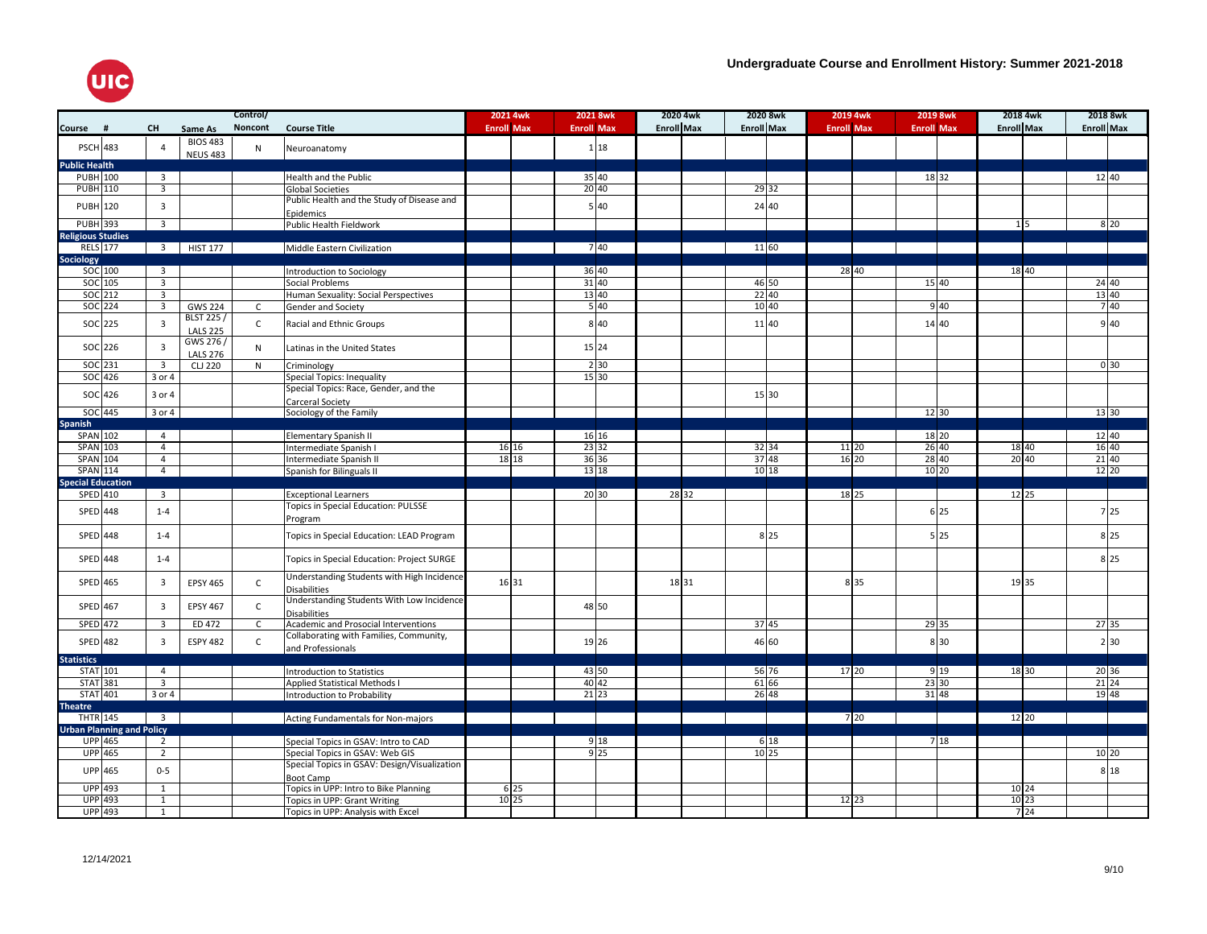

|                                  |                |                         |                                     | Control/     |                                                                   | 2021 4wk          | 2021 8wk           | 2020 4wk          |                   | 2020 8wk | 2019 4wk          | 2019 8wk          | 2018 4wk          | 2018 8wk          |
|----------------------------------|----------------|-------------------------|-------------------------------------|--------------|-------------------------------------------------------------------|-------------------|--------------------|-------------------|-------------------|----------|-------------------|-------------------|-------------------|-------------------|
| Course                           | #              | <b>CH</b>               | Same As                             | Noncont      | <b>Course Title</b>                                               | <b>Enroll Max</b> | <b>Enroll Max</b>  | <b>Enroll Max</b> | <b>Enroll Max</b> |          | <b>Enroll Max</b> | <b>Enroll Max</b> | <b>Enroll Max</b> | <b>Enroll Max</b> |
| <b>PSCH 483</b>                  |                | $\overline{4}$          | <b>BIOS 483</b><br><b>NEUS 483</b>  | N            | Neuroanatomy                                                      |                   | 1 18               |                   |                   |          |                   |                   |                   |                   |
| <b>Public Health</b>             |                |                         |                                     |              |                                                                   |                   |                    |                   |                   |          |                   |                   |                   |                   |
| <b>PUBH</b> 100                  |                | $\overline{3}$          |                                     |              | Health and the Public                                             |                   | 35 40              |                   |                   |          |                   | 18 32             |                   | 12 40             |
| <b>PUBH 110</b>                  |                | $\overline{\mathbf{3}}$ |                                     |              | <b>Global Societies</b>                                           |                   | 20 40              |                   |                   | 29 32    |                   |                   |                   |                   |
| <b>PUBH</b> 120                  |                | $\overline{3}$          |                                     |              | Public Health and the Study of Disease and<br>Epidemics           |                   | 5 40               |                   |                   | 24 40    |                   |                   |                   |                   |
| PUBH 393                         |                | $\overline{3}$          |                                     |              | Public Health Fieldwork                                           |                   |                    |                   |                   |          |                   |                   | $1\vert 5$        | 8 2 0             |
| <b>Religious Studies</b>         |                |                         |                                     |              |                                                                   |                   |                    |                   |                   |          |                   |                   |                   |                   |
| <b>RELS</b> 177                  |                |                         | 3 HIST 177                          |              | Middle Eastern Civilization                                       |                   | 7 40               |                   |                   | 11 60    |                   |                   |                   |                   |
|                                  |                |                         |                                     |              |                                                                   |                   |                    |                   |                   |          |                   |                   |                   |                   |
| <b>Sociology</b>                 | SOC 100        | $\overline{\mathbf{3}}$ |                                     |              |                                                                   |                   | 36 40              |                   |                   |          | 28 40             |                   | 18 40             |                   |
|                                  |                |                         |                                     |              | Introduction to Sociology                                         |                   |                    |                   |                   |          |                   |                   |                   |                   |
|                                  | SOC 105        | $\overline{3}$          |                                     |              | Social Problems                                                   |                   | 31 40              |                   |                   | 46 50    |                   | 15 40             |                   | 24 40             |
|                                  | SOC 212        | $\overline{3}$          |                                     |              | Human Sexuality: Social Perspectives                              |                   | 13 40              |                   |                   | 22 40    |                   |                   |                   | 13 40<br>740      |
|                                  | SOC 224        | $\overline{\mathbf{3}}$ | <b>GWS 224</b>                      | C            | Gender and Society                                                |                   | 540                |                   |                   | 10 40    |                   | 9 4 0             |                   |                   |
|                                  | SOC 225        | $\overline{3}$          | <b>BLST 225/</b><br><b>LALS 225</b> | $\mathsf{C}$ | Racial and Ethnic Groups                                          |                   | 8 4 0              |                   |                   | 11 40    |                   | 14 40             |                   | 9 4 0             |
|                                  | $SOC$ 226      | $\overline{\mathbf{3}}$ | GWS 276 /<br><b>LALS 276</b>        | N            | Latinas in the United States                                      |                   | 15 24              |                   |                   |          |                   |                   |                   |                   |
| SOC 231                          |                | $\overline{\mathbf{3}}$ | <b>CLJ 220</b>                      | N            | Criminology                                                       |                   | 2 3 0              |                   |                   |          |                   |                   |                   | 0 <sup>30</sup>   |
|                                  | $SOC$ 426      | 3 or 4                  |                                     |              | Special Topics: Inequality                                        |                   | $\overline{15}$ 30 |                   |                   |          |                   |                   |                   |                   |
|                                  | $SOC$ 426      | 3 or 4                  |                                     |              | Special Topics: Race, Gender, and the<br>Carceral Society         |                   |                    |                   |                   | 15 30    |                   |                   |                   |                   |
|                                  | SOC 445        | 3 or 4                  |                                     |              | Sociology of the Family                                           |                   |                    |                   |                   |          |                   | 12 30             |                   | 13 30             |
| <b>Spanish</b>                   |                |                         |                                     |              |                                                                   |                   |                    |                   |                   |          |                   |                   |                   |                   |
| SPAN 102                         |                | $\overline{4}$          |                                     |              | <b>Elementary Spanish II</b>                                      |                   | 16 16              |                   |                   |          |                   | 18 20             |                   | 12 40             |
| <b>SPAN 103</b>                  |                | $\overline{4}$          |                                     |              | Intermediate Spanish I                                            | 16 16             | 23 32              |                   |                   | 32 34    | 11 20             | 26 40             | 18 40             | 16 40             |
| <b>SPAN 104</b>                  |                | $\overline{4}$          |                                     |              | Intermediate Spanish II                                           | 18 18             | 36 36              |                   |                   | 37 48    | 16 20             | 28 40             | $20\overline{40}$ | 21 40             |
| <b>SPAN 114</b>                  |                | $\overline{4}$          |                                     |              | Spanish for Bilinguals II                                         |                   | 13 18              |                   |                   | 10 18    |                   | $10 20$           |                   | 12 20             |
| <b>Special Education</b>         |                |                         |                                     |              |                                                                   |                   |                    |                   |                   |          |                   |                   |                   |                   |
| SPED 410                         |                | $\overline{\mathbf{3}}$ |                                     |              | <b>Exceptional Learners</b>                                       |                   | 20 30              | 28 32             |                   |          | 18 25             |                   | 12 25             |                   |
|                                  |                |                         |                                     |              | <b>Topics in Special Education: PULSSE</b>                        |                   |                    |                   |                   |          |                   |                   |                   |                   |
| SPED 448                         |                | $1 - 4$                 |                                     |              | Program                                                           |                   |                    |                   |                   |          |                   | 6 25              |                   | 7 25              |
| SPED 448                         |                | $1 - 4$                 |                                     |              | Topics in Special Education: LEAD Program                         |                   |                    |                   |                   | 8 25     |                   | 5 25              |                   | 8 25              |
| SPED 448                         |                | $1 - 4$                 |                                     |              | Topics in Special Education: Project SURGE                        |                   |                    |                   |                   |          |                   |                   |                   | 8 25              |
| SPED 465                         |                | $\overline{\mathbf{3}}$ | <b>EPSY 465</b>                     | $\mathsf{C}$ | Understanding Students with High Incidence<br><b>Disabilities</b> | 16 31             |                    | 18 31             |                   |          | 8 3 5             |                   | 19 35             |                   |
| SPED 467                         |                | $\overline{\mathbf{3}}$ | <b>EPSY 467</b>                     | $\mathsf{C}$ | Understanding Students With Low Incidence<br><b>Disabilities</b>  |                   | 48 50              |                   |                   |          |                   |                   |                   |                   |
| <b>SPED</b> 472                  |                | $\overline{\mathbf{3}}$ | ED 472                              | $\mathsf{C}$ | Academic and Prosocial Interventions                              |                   |                    |                   |                   | 37 45    |                   | 29 35             |                   | 27 35             |
|                                  |                |                         |                                     |              | Collaborating with Families, Community,                           |                   |                    |                   |                   |          |                   |                   |                   |                   |
| SPED 482                         |                | 3                       | <b>ESPY 482</b>                     | $\mathsf{C}$ | and Professionals                                                 |                   | 19 26              |                   |                   | 46 60    |                   | 8 30              |                   | 2 30              |
| <b>Statistics</b>                |                |                         |                                     |              |                                                                   |                   |                    |                   |                   |          |                   |                   |                   |                   |
| STAT 101                         |                | $\overline{4}$          |                                     |              | <b>Introduction to Statistics</b>                                 |                   | 43 50              |                   |                   | 56 76    | 17 20             | 9 19              | 18 30             | 20 36             |
| <b>STAT 381</b>                  |                | $\overline{\mathbf{3}}$ |                                     |              | <b>Applied Statistical Methods I</b>                              |                   | $40\,42$           |                   |                   | 61 66    |                   | 23 30             |                   | $21\overline{24}$ |
| <b>STAT 401</b>                  |                | 3 or 4                  |                                     |              | Introduction to Probability                                       |                   | 21 23              |                   |                   | 26 48    |                   | 31 48             |                   | 19 48             |
| <b>Theatre</b>                   |                |                         |                                     |              |                                                                   |                   |                    |                   |                   |          |                   |                   |                   |                   |
| <b>THTR 145</b>                  |                | $\overline{\mathbf{3}}$ |                                     |              | Acting Fundamentals for Non-majors                                |                   |                    |                   |                   |          | 720               |                   | 12 20             |                   |
| <b>Urban Planning and Policy</b> |                |                         |                                     |              |                                                                   |                   |                    |                   |                   |          |                   |                   |                   |                   |
|                                  | <b>UPP</b> 465 | $\overline{2}$          |                                     |              | Special Topics in GSAV: Intro to CAD                              |                   | 9 1 8              |                   |                   | 6 18     |                   | 718               |                   |                   |
|                                  | <b>UPP</b> 465 | $\overline{2}$          |                                     |              | Special Topics in GSAV: Web GIS                                   |                   | 9 <sup>25</sup>    |                   |                   | $10$ 25  |                   |                   |                   | 10 20             |
|                                  | <b>UPP</b> 465 | $0-5$                   |                                     |              | Special Topics in GSAV: Design/Visualization                      |                   |                    |                   |                   |          |                   |                   |                   | 8 1 8             |
|                                  |                |                         |                                     |              | Boot Camp                                                         |                   |                    |                   |                   |          |                   |                   |                   |                   |
|                                  | <b>UPP</b> 493 | $\mathbf{1}$            |                                     |              | Topics in UPP: Intro to Bike Planning                             | $6\overline{25}$  |                    |                   |                   |          |                   |                   | 10 24             |                   |
|                                  | UPP 493        | $\mathbf{1}$            |                                     |              | Topics in UPP: Grant Writing                                      | 10 25             |                    |                   |                   |          | 12 23             |                   | 10 23             |                   |
|                                  | UPP 493        | $\mathbf{1}$            |                                     |              | Topics in UPP: Analysis with Excel                                |                   |                    |                   |                   |          |                   |                   | 7 24              |                   |